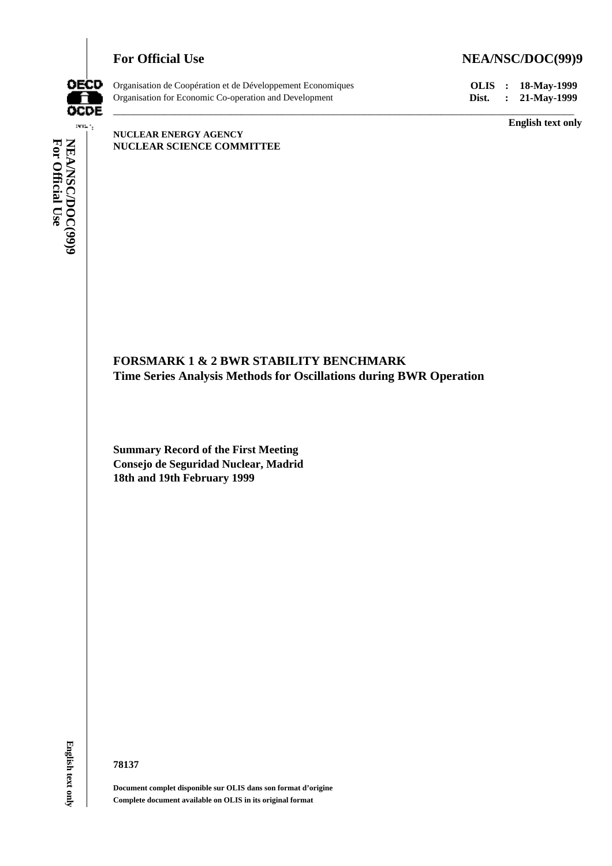## For Official Use NEA/NSC/DOC(99)9



Organisation de Coopération et de Développement Economiques **OLIS : 18-May-1999** Organisation for Economic Co-operation and Development **Dist. : 21-May-1999**

**English text only**

 $\mathbf{vec}(\cdot)$ **NEA/NSC/DOC(99)9**<br>For Official Use **For Official Use NEA/NSC/DOC(99)9** english text only **E** 

#### **NUCLEAR ENERGY AGENCY NUCLEAR SCIENCE COMMITTEE**

# **FORSMARK 1 & 2 BWR STABILITY BENCHMARK Time Series Analysis Methods for Oscillations during BWR Operation**

\_\_\_\_\_\_\_\_\_\_\_\_\_\_\_\_\_\_\_\_\_\_\_\_\_\_\_\_\_\_\_\_\_\_\_\_\_\_\_\_\_\_\_\_\_\_\_\_\_\_\_\_\_\_\_\_\_\_\_\_\_\_\_\_\_\_\_\_\_\_\_\_\_\_\_\_\_\_\_\_\_\_\_\_\_\_\_\_\_\_

**Summary Record of the First Meeting Consejo de Seguridad Nuclear, Madrid 18th and 19th February 1999**

**English text only** 

#### **78137**

**Document complet disponible sur OLIS dans son format d'origine Complete document available on OLIS in its original format**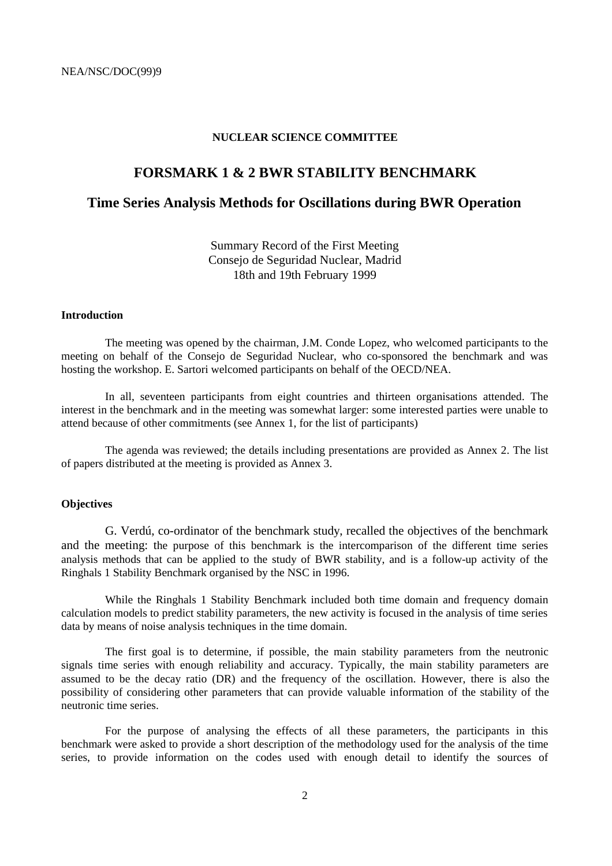#### **NUCLEAR SCIENCE COMMITTEE**

## **FORSMARK 1 & 2 BWR STABILITY BENCHMARK**

## **Time Series Analysis Methods for Oscillations during BWR Operation**

Summary Record of the First Meeting Consejo de Seguridad Nuclear, Madrid 18th and 19th February 1999

#### **Introduction**

The meeting was opened by the chairman, J.M. Conde Lopez, who welcomed participants to the meeting on behalf of the Consejo de Seguridad Nuclear, who co-sponsored the benchmark and was hosting the workshop. E. Sartori welcomed participants on behalf of the OECD/NEA.

In all, seventeen participants from eight countries and thirteen organisations attended. The interest in the benchmark and in the meeting was somewhat larger: some interested parties were unable to attend because of other commitments (see Annex 1, for the list of participants)

The agenda was reviewed; the details including presentations are provided as Annex 2. The list of papers distributed at the meeting is provided as Annex 3.

## **Objectives**

G. Verdú, co-ordinator of the benchmark study, recalled the objectives of the benchmark and the meeting: the purpose of this benchmark is the intercomparison of the different time series analysis methods that can be applied to the study of BWR stability, and is a follow-up activity of the Ringhals 1 Stability Benchmark organised by the NSC in 1996.

While the Ringhals 1 Stability Benchmark included both time domain and frequency domain calculation models to predict stability parameters, the new activity is focused in the analysis of time series data by means of noise analysis techniques in the time domain.

The first goal is to determine, if possible, the main stability parameters from the neutronic signals time series with enough reliability and accuracy. Typically, the main stability parameters are assumed to be the decay ratio (DR) and the frequency of the oscillation. However, there is also the possibility of considering other parameters that can provide valuable information of the stability of the neutronic time series.

For the purpose of analysing the effects of all these parameters, the participants in this benchmark were asked to provide a short description of the methodology used for the analysis of the time series, to provide information on the codes used with enough detail to identify the sources of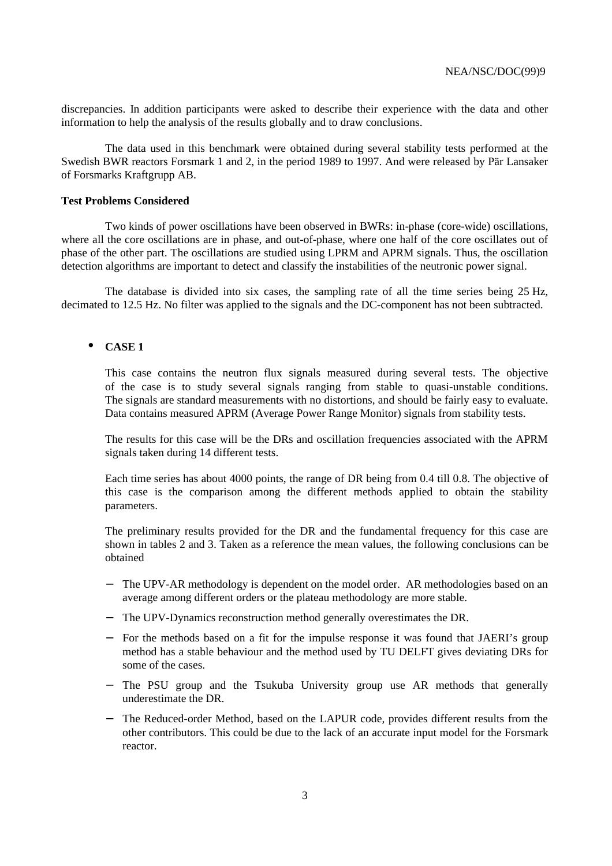discrepancies. In addition participants were asked to describe their experience with the data and other information to help the analysis of the results globally and to draw conclusions.

The data used in this benchmark were obtained during several stability tests performed at the Swedish BWR reactors Forsmark 1 and 2, in the period 1989 to 1997. And were released by Pär Lansaker of Forsmarks Kraftgrupp AB.

#### **Test Problems Considered**

Two kinds of power oscillations have been observed in BWRs: in-phase (core-wide) oscillations, where all the core oscillations are in phase, and out-of-phase, where one half of the core oscillates out of phase of the other part. The oscillations are studied using LPRM and APRM signals. Thus, the oscillation detection algorithms are important to detect and classify the instabilities of the neutronic power signal.

The database is divided into six cases, the sampling rate of all the time series being 25 Hz, decimated to 12.5 Hz. No filter was applied to the signals and the DC-component has not been subtracted.

## • **CASE 1**

This case contains the neutron flux signals measured during several tests. The objective of the case is to study several signals ranging from stable to quasi-unstable conditions. The signals are standard measurements with no distortions, and should be fairly easy to evaluate. Data contains measured APRM (Average Power Range Monitor) signals from stability tests.

The results for this case will be the DRs and oscillation frequencies associated with the APRM signals taken during 14 different tests.

Each time series has about 4000 points, the range of DR being from 0.4 till 0.8. The objective of this case is the comparison among the different methods applied to obtain the stability parameters.

The preliminary results provided for the DR and the fundamental frequency for this case are shown in tables 2 and 3. Taken as a reference the mean values, the following conclusions can be obtained

- The UPV-AR methodology is dependent on the model order. AR methodologies based on an average among different orders or the plateau methodology are more stable.
- − The UPV-Dynamics reconstruction method generally overestimates the DR.
- − For the methods based on a fit for the impulse response it was found that JAERI's group method has a stable behaviour and the method used by TU DELFT gives deviating DRs for some of the cases.
- − The PSU group and the Tsukuba University group use AR methods that generally underestimate the DR.
- The Reduced-order Method, based on the LAPUR code, provides different results from the other contributors. This could be due to the lack of an accurate input model for the Forsmark reactor.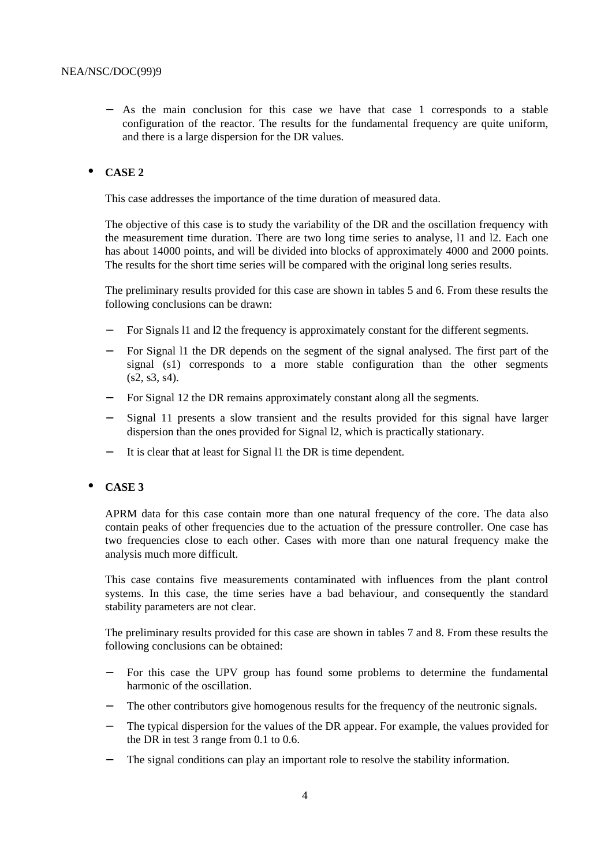− As the main conclusion for this case we have that case 1 corresponds to a stable configuration of the reactor. The results for the fundamental frequency are quite uniform, and there is a large dispersion for the DR values.

## • **CASE 2**

This case addresses the importance of the time duration of measured data.

The objective of this case is to study the variability of the DR and the oscillation frequency with the measurement time duration. There are two long time series to analyse, l1 and l2. Each one has about 14000 points, and will be divided into blocks of approximately 4000 and 2000 points. The results for the short time series will be compared with the original long series results.

The preliminary results provided for this case are shown in tables 5 and 6. From these results the following conclusions can be drawn:

- For Signals 11 and 12 the frequency is approximately constant for the different segments.
- For Signal 11 the DR depends on the segment of the signal analysed. The first part of the signal (s1) corresponds to a more stable configuration than the other segments  $(s2, s3, s4)$ .
- For Signal 12 the DR remains approximately constant along all the segments.
- Signal 11 presents a slow transient and the results provided for this signal have larger dispersion than the ones provided for Signal l2, which is practically stationary.
- − It is clear that at least for Signal l1 the DR is time dependent.

## • **CASE 3**

APRM data for this case contain more than one natural frequency of the core. The data also contain peaks of other frequencies due to the actuation of the pressure controller. One case has two frequencies close to each other. Cases with more than one natural frequency make the analysis much more difficult.

This case contains five measurements contaminated with influences from the plant control systems. In this case, the time series have a bad behaviour, and consequently the standard stability parameters are not clear.

The preliminary results provided for this case are shown in tables 7 and 8. From these results the following conclusions can be obtained:

- For this case the UPV group has found some problems to determine the fundamental harmonic of the oscillation.
- The other contributors give homogenous results for the frequency of the neutronic signals.
- The typical dispersion for the values of the DR appear. For example, the values provided for the DR in test 3 range from 0.1 to 0.6.
- The signal conditions can play an important role to resolve the stability information.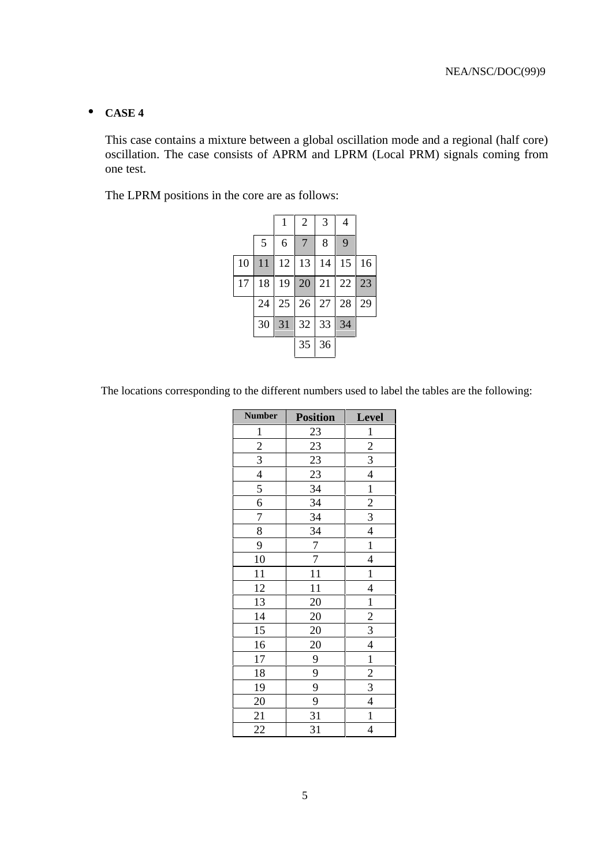## • **CASE 4**

This case contains a mixture between a global oscillation mode and a regional (half core) oscillation. The case consists of APRM and LPRM (Local PRM) signals coming from one test.

The LPRM positions in the core are as follows:

|    |    |    | $\overline{2}$ | 3  | 4  |    |
|----|----|----|----------------|----|----|----|
|    | 5  | 6  | 7              | 8  | 9  |    |
| 10 | 11 | 12 | 13             | 14 | 15 | 16 |
| 17 | 18 | 19 | 20             | 21 | 22 | 23 |
|    | 24 | 25 | 26             | 27 | 28 | 29 |
|    | 30 | 31 | 32             | 33 | 34 |    |
|    |    |    | 35             | 36 |    |    |

The locations corresponding to the different numbers used to label the tables are the following:

| <b>Number</b>               | <b>Position</b> | Level                    |
|-----------------------------|-----------------|--------------------------|
| $\overline{1}$              | 23              | $\overline{1}$           |
|                             | 23              | $\overline{2}$           |
| $\frac{2}{3}$ $\frac{4}{5}$ | 23              | $\overline{3}$           |
|                             | 23              | $\overline{\mathcal{L}}$ |
|                             | $\overline{34}$ | $\overline{1}$           |
| $\frac{6}{7}$               | 34              | $\overline{2}$           |
|                             | $\overline{34}$ | $\overline{3}$           |
| $\overline{8}$              | $\frac{34}{5}$  | $\overline{4}$           |
| 9                           | $\overline{7}$  | $\mathbf{1}$             |
| 10                          | $\overline{7}$  | $\overline{4}$           |
| $\overline{11}$             | $\overline{11}$ | $\overline{1}$           |
| 12                          | $\overline{11}$ | $\overline{\mathcal{L}}$ |
| $\overline{13}$             | $\overline{20}$ | $\mathbf{1}$             |
| 14                          | 20              |                          |
| $\overline{15}$             | 20              | $rac{2}{3}$              |
| 16                          | $\overline{20}$ | $\overline{4}$           |
| 17                          | 9               | $\mathbf{1}$             |
| 18                          | $\overline{9}$  |                          |
| 19                          | $\overline{9}$  | $\frac{2}{3}$            |
| 20                          | 9               | $\overline{\mathcal{A}}$ |
| 21                          | 31              | $\mathbf{1}$             |
| 22                          | 31              | $\overline{4}$           |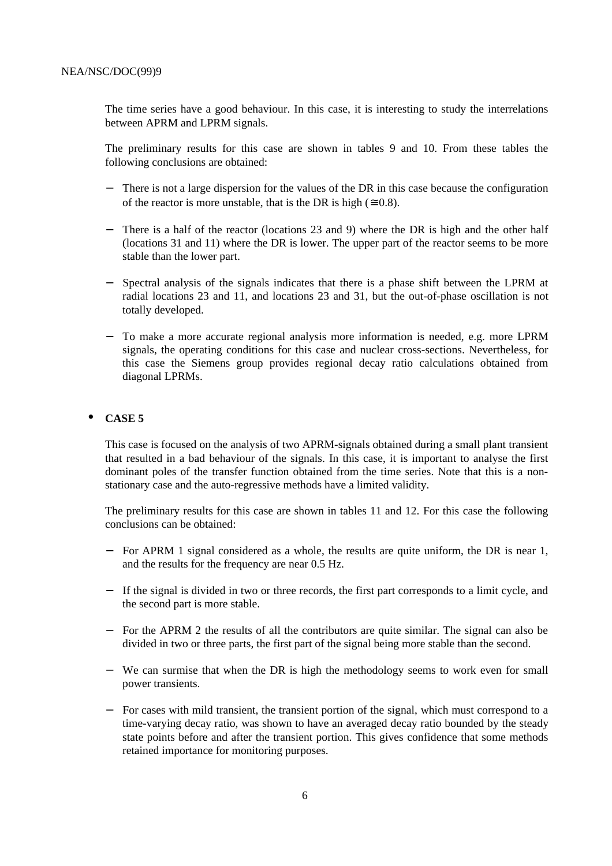The time series have a good behaviour. In this case, it is interesting to study the interrelations between APRM and LPRM signals.

The preliminary results for this case are shown in tables 9 and 10. From these tables the following conclusions are obtained:

- − There is not a large dispersion for the values of the DR in this case because the configuration of the reactor is more unstable, that is the DR is high ( $\approx 0.8$ ).
- There is a half of the reactor (locations 23 and 9) where the DR is high and the other half (locations 31 and 11) where the DR is lower. The upper part of the reactor seems to be more stable than the lower part.
- − Spectral analysis of the signals indicates that there is a phase shift between the LPRM at radial locations 23 and 11, and locations 23 and 31, but the out-of-phase oscillation is not totally developed.
- To make a more accurate regional analysis more information is needed, e.g. more LPRM signals, the operating conditions for this case and nuclear cross-sections. Nevertheless, for this case the Siemens group provides regional decay ratio calculations obtained from diagonal LPRMs.

#### • **CASE 5**

This case is focused on the analysis of two APRM-signals obtained during a small plant transient that resulted in a bad behaviour of the signals. In this case, it is important to analyse the first dominant poles of the transfer function obtained from the time series. Note that this is a nonstationary case and the auto-regressive methods have a limited validity.

The preliminary results for this case are shown in tables 11 and 12. For this case the following conclusions can be obtained:

- For APRM 1 signal considered as a whole, the results are quite uniform, the DR is near 1, and the results for the frequency are near 0.5 Hz.
- − If the signal is divided in two or three records, the first part corresponds to a limit cycle, and the second part is more stable.
- − For the APRM 2 the results of all the contributors are quite similar. The signal can also be divided in two or three parts, the first part of the signal being more stable than the second.
- − We can surmise that when the DR is high the methodology seems to work even for small power transients.
- − For cases with mild transient, the transient portion of the signal, which must correspond to a time-varying decay ratio, was shown to have an averaged decay ratio bounded by the steady state points before and after the transient portion. This gives confidence that some methods retained importance for monitoring purposes.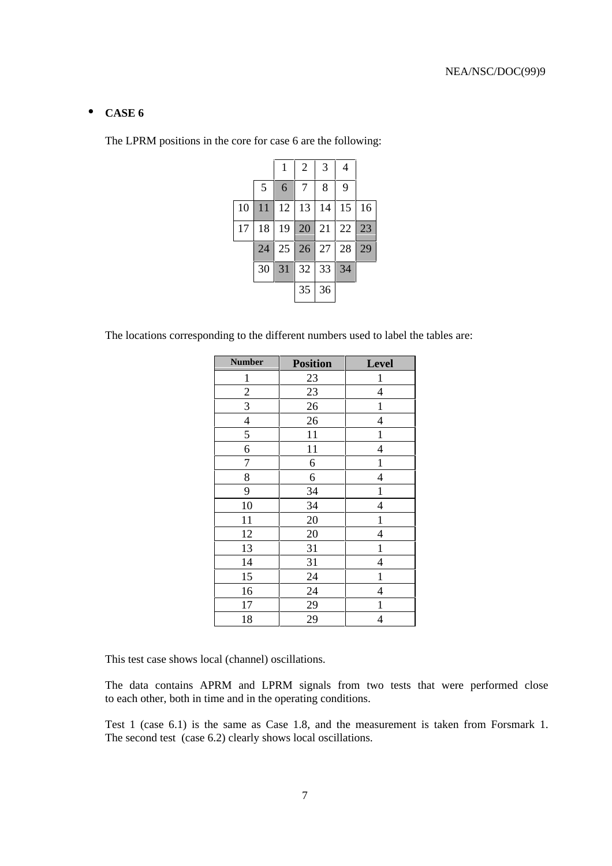## • **CASE 6**

The LPRM positions in the core for case 6 are the following:

|    |    | 1  | $\overline{2}$ | 3  | 4  |    |
|----|----|----|----------------|----|----|----|
|    | 5  | 6  | 7              | 8  | 9  |    |
| 10 | 11 | 12 | 13             | 14 | 15 | 16 |
| 17 | 18 | 19 | 20             | 21 | 22 | 23 |
|    | 24 | 25 | 26             | 27 | 28 | 29 |
|    | 30 | 31 | 32             | 33 | 34 |    |
|    |    |    | 35             | 36 |    |    |

The locations corresponding to the different numbers used to label the tables are:

| <b>Number</b>  | <b>Position</b> | Level                    |
|----------------|-----------------|--------------------------|
| $\mathbf{1}$   | 23              | 1                        |
| $\overline{c}$ | 23              | $\overline{4}$           |
| 3              | 26              | $\mathbf{1}$             |
| $\overline{4}$ | 26              | $\overline{4}$           |
| 5              | 11              | $\mathbf{1}$             |
| 6              | 11              | $\overline{4}$           |
| $\overline{7}$ | 6               | $\mathbf{1}$             |
| 8              | 6               | $\overline{\mathcal{L}}$ |
| 9              | 34              | $\mathbf{1}$             |
| 10             | 34              | $\overline{4}$           |
| 11             | 20              | $\mathbf{1}$             |
| 12             | 20              | $\overline{4}$           |
| 13             | 31              | $\mathbf{1}$             |
| 14             | 31              | $\overline{4}$           |
| 15             | 24              | $\mathbf{1}$             |
| 16             | 24              | $\overline{4}$           |
| 17             | 29              | 1                        |
| 18             | 29              | $\overline{4}$           |

This test case shows local (channel) oscillations.

The data contains APRM and LPRM signals from two tests that were performed close to each other, both in time and in the operating conditions.

Test 1 (case 6.1) is the same as Case 1.8, and the measurement is taken from Forsmark 1. The second test (case 6.2) clearly shows local oscillations.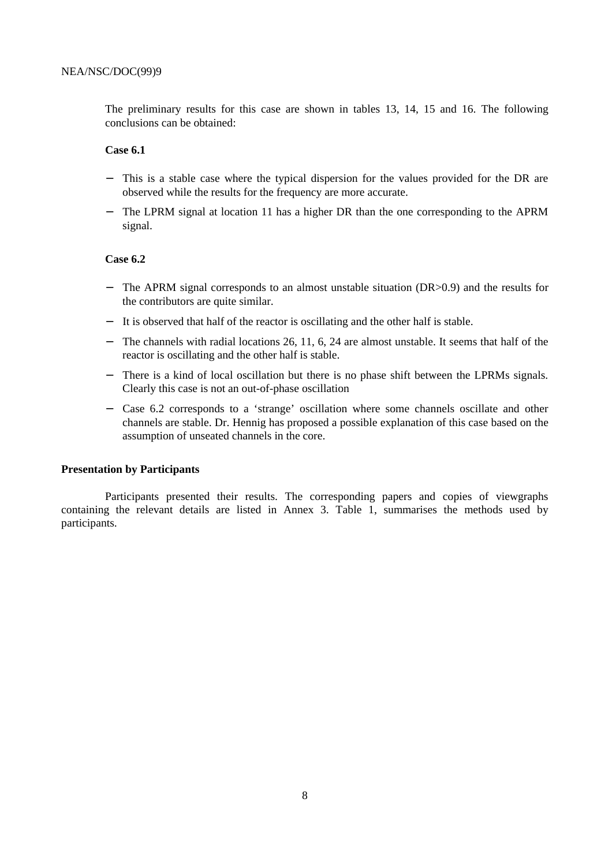The preliminary results for this case are shown in tables 13, 14, 15 and 16. The following conclusions can be obtained:

#### **Case 6.1**

- − This is a stable case where the typical dispersion for the values provided for the DR are observed while the results for the frequency are more accurate.
- The LPRM signal at location 11 has a higher DR than the one corresponding to the APRM signal.

## **Case 6.2**

- The APRM signal corresponds to an almost unstable situation (DR>0.9) and the results for the contributors are quite similar.
- − It is observed that half of the reactor is oscillating and the other half is stable.
- − The channels with radial locations 26, 11, 6, 24 are almost unstable. It seems that half of the reactor is oscillating and the other half is stable.
- − There is a kind of local oscillation but there is no phase shift between the LPRMs signals. Clearly this case is not an out-of-phase oscillation
- − Case 6.2 corresponds to a 'strange' oscillation where some channels oscillate and other channels are stable. Dr. Hennig has proposed a possible explanation of this case based on the assumption of unseated channels in the core.

#### **Presentation by Participants**

Participants presented their results. The corresponding papers and copies of viewgraphs containing the relevant details are listed in Annex 3. Table 1, summarises the methods used by participants.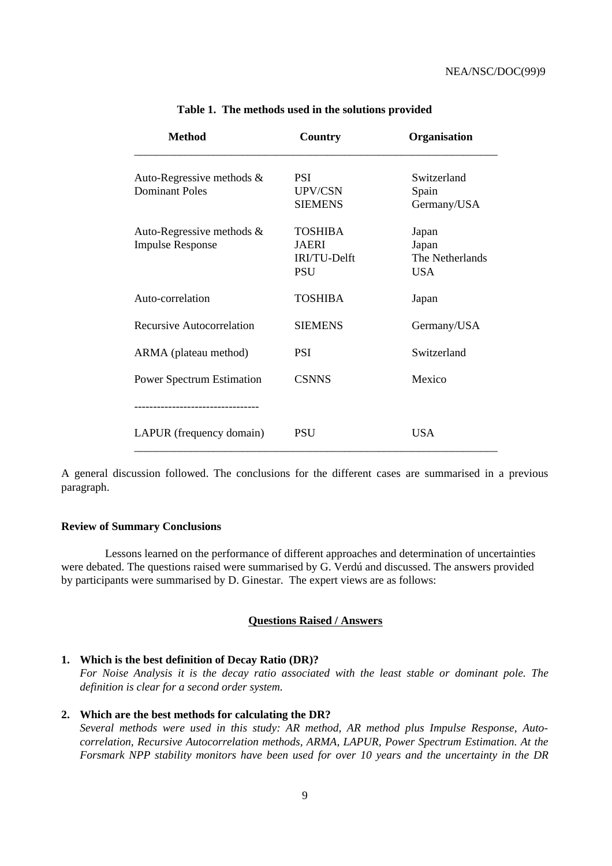| <b>Method</b>                                           | Country                                                      | Organisation                                    |
|---------------------------------------------------------|--------------------------------------------------------------|-------------------------------------------------|
| Auto-Regressive methods $\&$<br><b>Dominant Poles</b>   | <b>PSI</b><br>UPV/CSN<br><b>SIEMENS</b>                      | Switzerland<br>Spain<br>Germany/USA             |
| Auto-Regressive methods $\&$<br><b>Impulse Response</b> | <b>TOSHIBA</b><br><b>JAERI</b><br>IRI/TU-Delft<br><b>PSU</b> | Japan<br>Japan<br>The Netherlands<br><b>USA</b> |
| Auto-correlation                                        | <b>TOSHIBA</b>                                               | Japan                                           |
| <b>Recursive Autocorrelation</b>                        | <b>SIEMENS</b>                                               | Germany/USA                                     |
| ARMA (plateau method)                                   | PSI                                                          | Switzerland                                     |
| <b>Power Spectrum Estimation</b>                        | <b>CSNNS</b>                                                 | Mexico                                          |
|                                                         |                                                              |                                                 |
| LAPUR (frequency domain)                                | <b>PSU</b>                                                   | <b>USA</b>                                      |

**Table 1. The methods used in the solutions provided**

A general discussion followed. The conclusions for the different cases are summarised in a previous paragraph.

#### **Review of Summary Conclusions**

Lessons learned on the performance of different approaches and determination of uncertainties were debated. The questions raised were summarised by G. Verdú and discussed. The answers provided by participants were summarised by D. Ginestar. The expert views are as follows:

#### **Questions Raised / Answers**

#### **1. Which is the best definition of Decay Ratio (DR)?**

*For Noise Analysis it is the decay ratio associated with the least stable or dominant pole. The definition is clear for a second order system.*

#### **2. Which are the best methods for calculating the DR?**

*Several methods were used in this study: AR method, AR method plus Impulse Response, Autocorrelation, Recursive Autocorrelation methods, ARMA, LAPUR, Power Spectrum Estimation. At the Forsmark NPP stability monitors have been used for over 10 years and the uncertainty in the DR*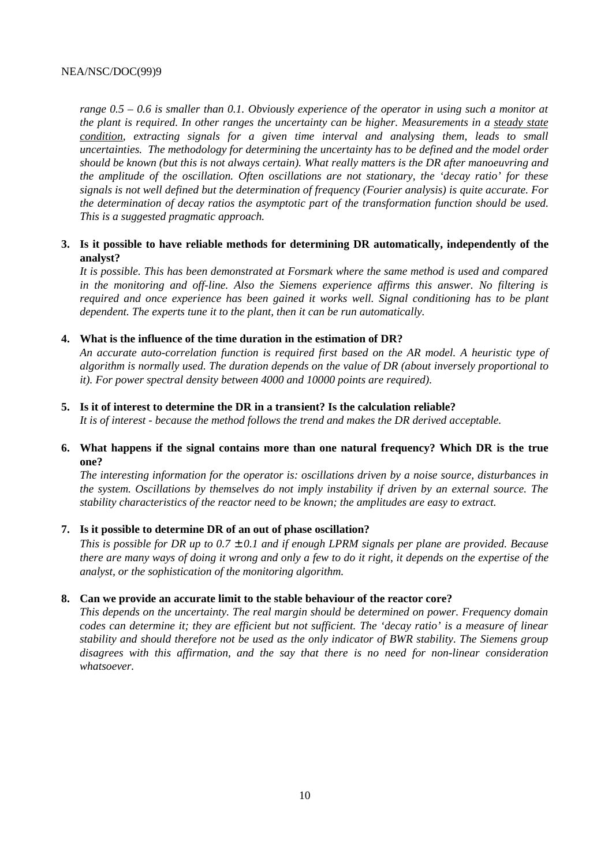*range 0.5 – 0.6 is smaller than 0.1. Obviously experience of the operator in using such a monitor at the plant is required. In other ranges the uncertainty can be higher. Measurements in a steady state condition, extracting signals for a given time interval and analysing them, leads to small uncertainties. The methodology for determining the uncertainty has to be defined and the model order should be known (but this is not always certain). What really matters is the DR after manoeuvring and the amplitude of the oscillation. Often oscillations are not stationary, the 'decay ratio' for these signals is not well defined but the determination of frequency (Fourier analysis) is quite accurate. For the determination of decay ratios the asymptotic part of the transformation function should be used. This is a suggested pragmatic approach.*

## **3. Is it possible to have reliable methods for determining DR automatically, independently of the analyst?**

*It is possible. This has been demonstrated at Forsmark where the same method is used and compared in the monitoring and off-line. Also the Siemens experience affirms this answer. No filtering is required and once experience has been gained it works well. Signal conditioning has to be plant dependent. The experts tune it to the plant, then it can be run automatically.*

## **4. What is the influence of the time duration in the estimation of DR?**

*An accurate auto-correlation function is required first based on the AR model. A heuristic type of algorithm is normally used. The duration depends on the value of DR (about inversely proportional to it). For power spectral density between 4000 and 10000 points are required).*

#### **5. Is it of interest to determine the DR in a transient? Is the calculation reliable?**

*It is of interest - because the method follows the trend and makes the DR derived acceptable.*

## **6. What happens if the signal contains more than one natural frequency? Which DR is the true one?**

*The interesting information for the operator is: oscillations driven by a noise source, disturbances in the system. Oscillations by themselves do not imply instability if driven by an external source. The stability characteristics of the reactor need to be known; the amplitudes are easy to extract.*

## **7. Is it possible to determine DR of an out of phase oscillation?**

*This is possible for DR up to 0.7* ± *0.1 and if enough LPRM signals per plane are provided. Because there are many ways of doing it wrong and only a few to do it right, it depends on the expertise of the analyst, or the sophistication of the monitoring algorithm.*

#### **8. Can we provide an accurate limit to the stable behaviour of the reactor core?**

*This depends on the uncertainty. The real margin should be determined on power. Frequency domain codes can determine it; they are efficient but not sufficient. The 'decay ratio' is a measure of linear stability and should therefore not be used as the only indicator of BWR stability*. *The Siemens group disagrees with this affirmation, and the say that there is no need for non-linear consideration whatsoever.*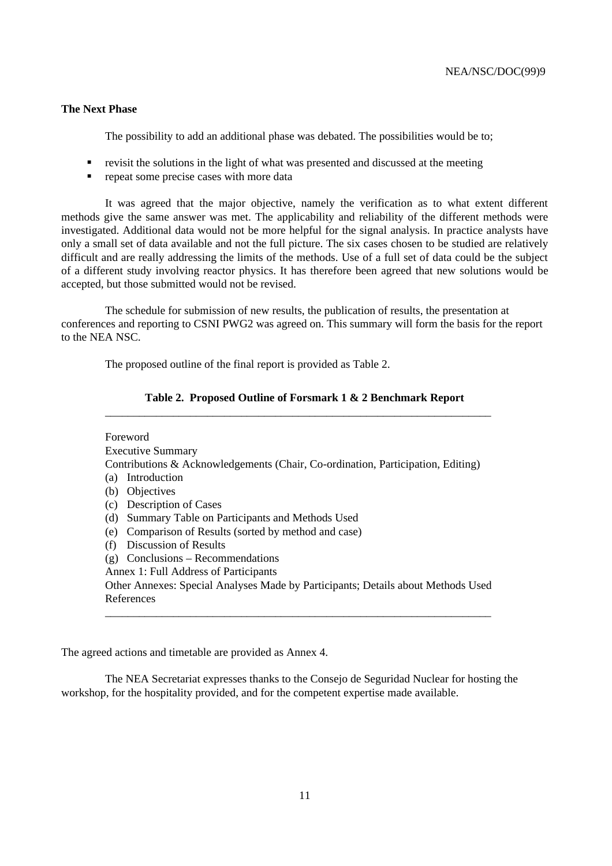#### **The Next Phase**

The possibility to add an additional phase was debated. The possibilities would be to;

- revisit the solutions in the light of what was presented and discussed at the meeting
- **repeat some precise cases with more data**

It was agreed that the major objective, namely the verification as to what extent different methods give the same answer was met. The applicability and reliability of the different methods were investigated. Additional data would not be more helpful for the signal analysis. In practice analysts have only a small set of data available and not the full picture. The six cases chosen to be studied are relatively difficult and are really addressing the limits of the methods. Use of a full set of data could be the subject of a different study involving reactor physics. It has therefore been agreed that new solutions would be accepted, but those submitted would not be revised.

The schedule for submission of new results, the publication of results, the presentation at conferences and reporting to CSNI PWG2 was agreed on. This summary will form the basis for the report to the NEA NSC.

The proposed outline of the final report is provided as Table 2.

|     | Foreword                                                                         |
|-----|----------------------------------------------------------------------------------|
|     | <b>Executive Summary</b>                                                         |
|     |                                                                                  |
|     | Contributions & Acknowledgements (Chair, Co-ordination, Participation, Editing)  |
|     | (a) Introduction                                                                 |
| (b) | Objectives                                                                       |
|     | (c) Description of Cases                                                         |
| (d) | Summary Table on Participants and Methods Used                                   |
| (e) | Comparison of Results (sorted by method and case)                                |
| (f) | <b>Discussion of Results</b>                                                     |
| (g) | Conclusions – Recommendations                                                    |
|     | Annex 1: Full Address of Participants                                            |
|     | Other Annexes: Special Analyses Made by Participants; Details about Methods Used |
|     | References                                                                       |

#### **Table 2. Proposed Outline of Forsmark 1 & 2 Benchmark Report**

The agreed actions and timetable are provided as Annex 4.

The NEA Secretariat expresses thanks to the Consejo de Seguridad Nuclear for hosting the workshop, for the hospitality provided, and for the competent expertise made available.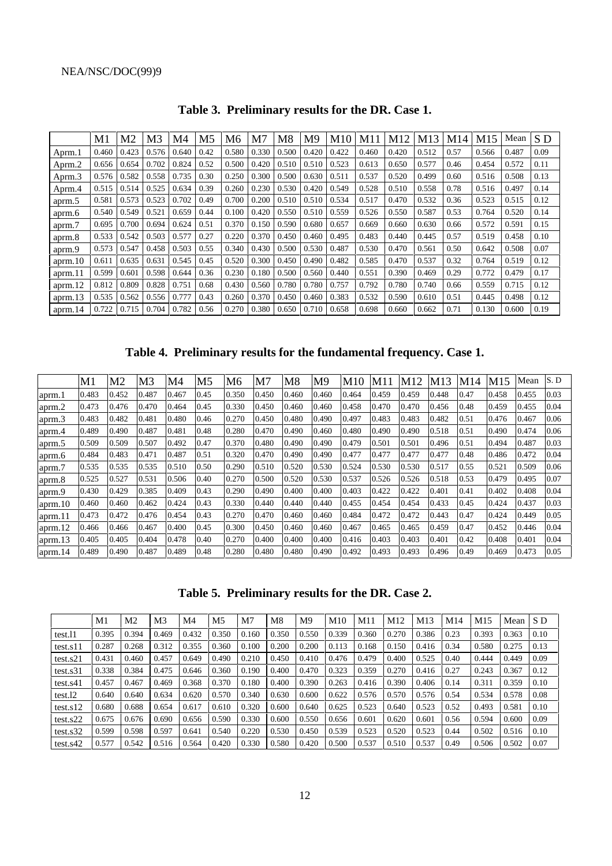|         | M1    | M2    | M3    | M4    | M5   | M6    | M7    | M8    | M9    | M10   | M11   | M12   | M13   | M14  | M15   | Mean  | S D  |
|---------|-------|-------|-------|-------|------|-------|-------|-------|-------|-------|-------|-------|-------|------|-------|-------|------|
| Aprm.1  | 0.460 | 0.423 | 0.576 | 0.640 | 0.42 | 0.580 | 0.330 | 0.500 | 0.420 | 0.422 | 0.460 | 0.420 | 0.512 | 0.57 | 0.566 | 0.487 | 0.09 |
| Aprm.2  | 0.656 | 0.654 | 0.702 | 0.824 | 0.52 | 0.500 | 0.420 | 0.510 | 0.510 | 0.523 | 0.613 | 0.650 | 0.577 | 0.46 | 0.454 | 0.572 | 0.11 |
| Aprm.3  | 0.576 | 0.582 | 0.558 | 0.735 | 0.30 | 0.250 | 0.300 | 0.500 | 0.630 | 0.511 | 0.537 | 0.520 | 0.499 | 0.60 | 0.516 | 0.508 | 0.13 |
| Aprm.4  | 0.515 | 0.514 | 0.525 | 0.634 | 0.39 | 0.260 | 0.230 | 0.530 | 0.420 | 0.549 | 0.528 | 0.510 | 0.558 | 0.78 | 0.516 | 0.497 | 0.14 |
| aprm.5  | 0.581 | 0.573 | 0.523 | 0.702 | 0.49 | 0.700 | 0.200 | 0.510 | 0.510 | 0.534 | 0.517 | 0.470 | 0.532 | 0.36 | 0.523 | 0.515 | 0.12 |
| aprm.6  | 0.540 | 0.549 | 0.521 | 0.659 | 0.44 | 0.100 | 0.420 | 0.550 | 0.510 | 0.559 | 0.526 | 0.550 | 0.587 | 0.53 | 0.764 | 0.520 | 0.14 |
| aprm.7  | 0.695 | 0.700 | 0.694 | 0.624 | 0.51 | 0.370 | 0.150 | 0.590 | 0.680 | 0.657 | 0.669 | 0.660 | 0.630 | 0.66 | 0.572 | 0.591 | 0.15 |
| aprm.8  | 0.533 | 0.542 | 0.503 | 0.577 | 0.27 | 0.220 | 0.370 | 0.450 | 0.460 | 0.495 | 0.483 | 0.440 | 0.445 | 0.57 | 0.519 | 0.458 | 0.10 |
| aprm.9  | 0.573 | 0.547 | 0.458 | 0.503 | 0.55 | 0.340 | 0.430 | 0.500 | 0.530 | 0.487 | 0.530 | 0.470 | 0.561 | 0.50 | 0.642 | 0.508 | 0.07 |
| aprm.10 | 0.611 | 0.635 | 0.631 | 0.545 | 0.45 | 0.520 | 0.300 | 0.450 | 0.490 | 0.482 | 0.585 | 0.470 | 0.537 | 0.32 | 0.764 | 0.519 | 0.12 |
| aprm.11 | 0.599 | 0.601 | 0.598 | 0.644 | 0.36 | 0.230 | 0.180 | 0.500 | 0.560 | 0.440 | 0.551 | 0.390 | 0.469 | 0.29 | 0.772 | 0.479 | 0.17 |
| aprm.12 | 0.812 | 0.809 | 0.828 | 0.751 | 0.68 | 0.430 | 0.560 | 0.780 | 0.780 | 0.757 | 0.792 | 0.780 | 0.740 | 0.66 | 0.559 | 0.715 | 0.12 |
| aprm.13 | 0.535 | 0.562 | 0.556 | 0.777 | 0.43 | 0.260 | 0.370 | 0.450 | 0.460 | 0.383 | 0.532 | 0.590 | 0.610 | 0.51 | 0.445 | 0.498 | 0.12 |
| aprm.14 | 0.722 | 0.715 | 0.704 | 0.782 | 0.56 | 0.270 | 0.380 | 0.650 | 0.710 | 0.658 | 0.698 | 0.660 | 0.662 | 0.71 | 0.130 | 0.600 | 0.19 |

**Table 3. Preliminary results for the DR. Case 1.**

**Table 4. Preliminary results for the fundamental frequency. Case 1.**

|         | M1    | M <sub>2</sub> | M3    | M4    | M5   | М6    | M7    | M8    | Μ9    | M10   | M11   | M12   | M13   | M14  | M15   | Mean  | S.D  |
|---------|-------|----------------|-------|-------|------|-------|-------|-------|-------|-------|-------|-------|-------|------|-------|-------|------|
| aprm.1  | 0.483 | 0.452          | 0.487 | 0.467 | 0.45 | 0.350 | 0.450 | 0.460 | 0.460 | 0.464 | 0.459 | 0.459 | 0.448 | 0.47 | 0.458 | 0.455 | 0.03 |
| aprm.2  | 0.473 | 0.476          | 0.470 | 0.464 | 0.45 | 0.330 | 0.450 | 0.460 | 0.460 | 0.458 | 0.470 | 0.470 | 0.456 | 0.48 | 0.459 | 0.455 | 0.04 |
| aprm.3  | 0.483 | 0.482          | 0.481 | 0.480 | 0.46 | 0.270 | 0.450 | 0.480 | 0.490 | 0.497 | 0.483 | 0.483 | 0.482 | 0.51 | 0.476 | 0.467 | 0.06 |
| aprm.4  | 0.489 | 0.490          | 0.487 | 0.481 | 0.48 | 0.280 | 0.470 | 0.490 | 0.460 | 0.480 | 0.490 | 0.490 | 0.518 | 0.51 | 0.490 | 0.474 | 0.06 |
| aprm.5  | 0.509 | 0.509          | 0.507 | 0.492 | 0.47 | 0.370 | 0.480 | 0.490 | 0.490 | 0.479 | 0.501 | 0.501 | 0.496 | 0.51 | 0.494 | 0.487 | 0.03 |
| aprm.6  | 0.484 | 0.483          | 0.471 | 0.487 | 0.51 | 0.320 | 0.470 | 0.490 | 0.490 | 0.477 | 0.477 | 0.477 | 0.477 | 0.48 | 0.486 | 0.472 | 0.04 |
| aprm.7  | 0.535 | 0.535          | 0.535 | 0.510 | 0.50 | 0.290 | 0.510 | 0.520 | 0.530 | 0.524 | 0.530 | 0.530 | 0.517 | 0.55 | 0.521 | 0.509 | 0.06 |
| aprm.8  | 0.525 | 0.527          | 0.531 | 0.506 | 0.40 | 0.270 | 0.500 | 0.520 | 0.530 | 0.537 | 0.526 | 0.526 | 0.518 | 0.53 | 0.479 | 0.495 | 0.07 |
| aprm.9  | 0.430 | 0.429          | 0.385 | 0.409 | 0.43 | 0.290 | 0.490 | 0.400 | 0.400 | 0.403 | 0.422 | 0.422 | 0.401 | 0.41 | 0.402 | 0.408 | 0.04 |
| aprm.10 | 0.460 | 0.460          | 0.462 | 0.424 | 0.43 | 0.330 | 0.440 | 0.440 | 0.440 | 0.455 | 0.454 | 0.454 | 0.433 | 0.45 | 0.424 | 0.437 | 0.03 |
| aprm.11 | 0.473 | 0.472          | 0.476 | 0.454 | 0.43 | 0.270 | 0.470 | 0.460 | 0.460 | 0.484 | 0.472 | 0.472 | 0.443 | 0.47 | 0.424 | 0.449 | 0.05 |
| aprm.12 | 0.466 | 0.466          | 0.467 | 0.400 | 0.45 | 0.300 | 0.450 | 0.460 | 0.460 | 0.467 | 0.465 | 0.465 | 0.459 | 0.47 | 0.452 | 0.446 | 0.04 |
| aprm.13 | 0.405 | 0.405          | 0.404 | 0.478 | 0.40 | 0.270 | 0.400 | 0.400 | 0.400 | 0.416 | 0.403 | 0.403 | 0.401 | 0.42 | 0.408 | 0.401 | 0.04 |
| aprm.14 | 0.489 | 0.490          | 0.487 | 0.489 | 0.48 | 0.280 | 0.480 | 0.480 | 0.490 | 0.492 | 0.493 | 0.493 | 0.496 | 0.49 | 0.469 | 0.473 | 0.05 |

**Table 5. Preliminary results for the DR. Case 2.**

|             | M1    | M <sub>2</sub> | M <sub>3</sub> | M4    | M5    | M7    | M8    | M <sub>9</sub> | M10   | M11   | M12   | M <sub>13</sub> | M <sub>14</sub> | M15   | Mean  | S D  |
|-------------|-------|----------------|----------------|-------|-------|-------|-------|----------------|-------|-------|-------|-----------------|-----------------|-------|-------|------|
| test.11     | 0.395 | 0.394          | 0.469          | 0.432 | 0.350 | 0.160 | 0.350 | 0.550          | 0.339 | 0.360 | 0.270 | 0.386           | 0.23            | 0.393 | 0.363 | 0.10 |
| test.s11    | 0.287 | 0.268          | 0.312          | 0.355 | 0.360 | 0.100 | 0.200 | 0.200          | 0.113 | 0.168 | 0.150 | 0.416           | 0.34            | 0.580 | 0.275 | 0.13 |
| test.s21    | 0.431 | 0.460          | 0.457          | 0.649 | 0.490 | 0.210 | 0.450 | 0.410          | 0.476 | 0.479 | 0.400 | 0.525           | 0.40            | 0.444 | 0.449 | 0.09 |
| $test$ .s31 | 0.338 | 0.384          | 0.475          | 0.646 | 0.360 | 0.190 | 0.400 | 0.470          | 0.323 | 0.359 | 0.270 | 0.416           | 0.27            | 0.243 | 0.367 | 0.12 |
| test.s41    | 0.457 | 0.467          | 0.469          | 0.368 | 0.370 | 0.180 | 0.400 | 0.390          | 0.263 | 0.416 | 0.390 | 0.406           | 0.14            | 0.311 | 0.359 | 0.10 |
| test.12     | 0.640 | 0.640          | 0.634          | 0.620 | 0.570 | 0.340 | 0.630 | 0.600          | 0.622 | 0.576 | 0.570 | 0.576           | 0.54            | 0.534 | 0.578 | 0.08 |
| test.s12    | 0.680 | 0.688          | 0.654          | 0.617 | 0.610 | 0.320 | 0.600 | 0.640          | 0.625 | 0.523 | 0.640 | 0.523           | 0.52            | 0.493 | 0.581 | 0.10 |
| test.s22    | 0.675 | 0.676          | 0.690          | 0.656 | 0.590 | 0.330 | 0.600 | 0.550          | 0.656 | 0.601 | 0.620 | 0.601           | 0.56            | 0.594 | 0.600 | 0.09 |
| test. s32   | 0.599 | 0.598          | 0.597          | 0.641 | 0.540 | 0.220 | 0.530 | 0.450          | 0.539 | 0.523 | 0.520 | 0.523           | 0.44            | 0.502 | 0.516 | 0.10 |
| test.s42    | 0.577 | 0.542          | 0.516          | 0.564 | 0.420 | 0.330 | 0.580 | 0.420          | 0.500 | 0.537 | 0.510 | 0.537           | 0.49            | 0.506 | 0.502 | 0.07 |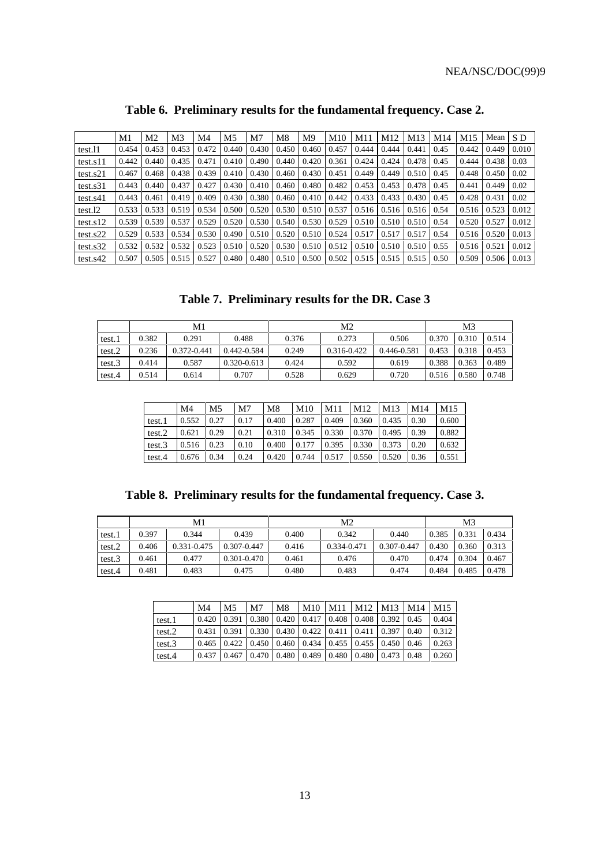|             | M1    | M2    | M3    | M4    | M5    | M7    | M8    | M9    | M10   | M11   | M12   | M13   | M <sub>14</sub> | M15   | Mean  | S D   |
|-------------|-------|-------|-------|-------|-------|-------|-------|-------|-------|-------|-------|-------|-----------------|-------|-------|-------|
| test.11     | 0.454 | 0.453 | 0.453 | 0.472 | 0.440 | 0.430 | 0.450 | 0.460 | 0.457 | 0.444 | 0.444 | 0.441 | 0.45            | 0.442 | 0.449 | 0.010 |
| test.s11    | 0.442 | 0.440 | 0.435 | 0.471 | 0.410 | 0.490 | 0.440 | 0.420 | 0.361 | 0.424 | 0.424 | 0.478 | 0.45            | 0.444 | 0.438 | 0.03  |
| test.s21    | 0.467 | 0.468 | 0.438 | 0.439 | 0.410 | 0.430 | 0.460 | 0.430 | 0.451 | 0.449 | 0.449 | 0.510 | 0.45            | 0.448 | 0.450 | 0.02  |
| test.s31    | 0.443 | 0.440 | 0.437 | 0.427 | 0.430 | 0.410 | 0.460 | 0.480 | 0.482 | 0.453 | 0.453 | 0.478 | 0.45            | 0.441 | 0.449 | 0.02  |
| test.s41    | 0.443 | 0.461 | 0.419 | 0.409 | 0.430 | 0.380 | 0.460 | 0.410 | 0.442 | 0.433 | 0.433 | 0.430 | 0.45            | 0.428 | 0.431 | 0.02  |
| test.12     | 0.533 | 0.533 | 0.519 | 0.534 | 0.500 | 0.520 | 0.530 | 0.510 | 0.537 | 0.516 | 0.516 | 0.516 | 0.54            | 0.516 | 0.523 | 0.012 |
| test.s12    | 0.539 | 0.539 | 0.537 | 0.529 | 0.520 | 0.530 | 0.540 | 0.530 | 0.529 | 0.510 | 0.510 | 0.510 | 0.54            | 0.520 | 0.527 | 0.012 |
| $test$ .s22 | 0.529 | 0.533 | 0.534 | 0.530 | 0.490 | 0.510 | 0.520 | 0.510 | 0.524 | 0.517 | 0.517 | 0.517 | 0.54            | 0.516 | 0.520 | 0.013 |
| test. s32   | 0.532 | 0.532 | 0.532 | 0.523 | 0.510 | 0.520 | 0.530 | 0.510 | 0.512 | 0.510 | 0.510 | 0.510 | 0.55            | 0.516 | 0.521 | 0.012 |
| test.s42    | 0.507 | 0.505 | 0.515 | 0.527 | 0.480 | 0.480 | 0.510 | 0.500 | 0.502 | 0.515 | 0.515 | 0.515 | 0.50            | 0.509 | 0.506 | 0.013 |

# **Table 6. Preliminary results for the fundamental frequency. Case 2.**

**Table 7. Preliminary results for the DR. Case 3**

|        |       | M1          |                 |       | M2              |             | M3    |       |       |  |
|--------|-------|-------------|-----------------|-------|-----------------|-------------|-------|-------|-------|--|
| test.1 | 0.382 | 0.291       | 0.488           | 0.376 | 0.273           | 0.506       | 0.370 | 0.310 | 0.514 |  |
| test.2 | 0.236 | 0.372-0.441 | 0.442-0.584     | 0.249 | $0.316 - 0.422$ | 0.446-0.581 | 0.453 | 0.318 | 0.453 |  |
| test.3 | 0.414 | 0.587       | $0.320 - 0.613$ | 0.424 | 0.592           | 0.619       | 0.388 | 0.363 | 0.489 |  |
| test.4 | 0.514 | 0.614       | 0.707           | 0.528 | 0.629           | 0.720       | 0.516 | 0.580 | 0.748 |  |

|        | M4    | M5   | M7   | M8    | M10   | M11   | M12   | M13   | M14  | M <sub>15</sub> |
|--------|-------|------|------|-------|-------|-------|-------|-------|------|-----------------|
| test.1 | 0.552 | 0.27 | 0.17 | 0.400 | 0.287 | 0.409 | 0.360 | 0.435 | 0.30 | 0.600           |
| test.2 | 0.621 | 0.29 | 0.21 | 0.310 | 0.345 | 0.330 | 0.370 | 0.495 | 0.39 | 0.882           |
| test.3 | 0.516 | 0.23 | 0.10 | 0.400 | 0.177 | 0.395 | 0.330 | 0.373 | 0.20 | 0.632           |
| test.4 | 0.676 | 0.34 | 0.24 | 0.420 | 0.744 | 0.517 | 0.550 | 0.520 | 0.36 | 0.551           |

|  | Table 8. Preliminary results for the fundamental frequency. Case 3. |  |  |  |  |  |
|--|---------------------------------------------------------------------|--|--|--|--|--|
|--|---------------------------------------------------------------------|--|--|--|--|--|

|        |       | M1          |                 |       | M2          |             |       | M3    |       |
|--------|-------|-------------|-----------------|-------|-------------|-------------|-------|-------|-------|
| test.1 | 0.397 | 0.344       | 0.439           | 0.400 | 0.342       | 0.440       | 0.385 | 0.331 | 0.434 |
| test.2 | 0.406 | 0.331-0.475 | $0.307 - 0.447$ | 0.416 | 0.334-0.471 | 0.307-0.447 | 0.430 | 0.360 | 0.313 |
| test.3 | 0.461 | 0.477       | $0.301 - 0.470$ | 0.461 | 0.476       | 0.470       | 0.474 | 0.304 | 0.467 |
| test.4 | 0.481 | 0.483       | 0.475           | 0.480 | 0.483       | 0.474       | 0.484 | 0.485 | 0.478 |

|        | M4    | M5                                                            | M7 | M8                                                                            | M10 | M11 | M <sub>12</sub> | M13 | M14  | M <sub>15</sub> |
|--------|-------|---------------------------------------------------------------|----|-------------------------------------------------------------------------------|-----|-----|-----------------|-----|------|-----------------|
| test.1 | 0.420 | 0.391                                                         |    | $0.380$   $0.420$   $0.417$   $0.408$                                         |     |     | 0.408 0.392     |     | 0.45 | 0.404           |
| test.2 | 0.431 | 0.391                                                         |    | $\mid 0.330 \mid 0.430 \mid 0.422 \mid 0.411 \mid 0.411 \mid 0.397 \mid 0.40$ |     |     |                 |     |      | 0.312           |
| test.3 |       | 0.465   0.422   0.450   0.460   0.434   0.455   0.455   0.450 |    |                                                                               |     |     |                 |     | 0.46 | 0.263           |
| test.4 | 0.437 | 0.467                                                         |    | $0.470$   0.480   0.489   0.480   0.480   0.473                               |     |     |                 |     | 0.48 | 0.260           |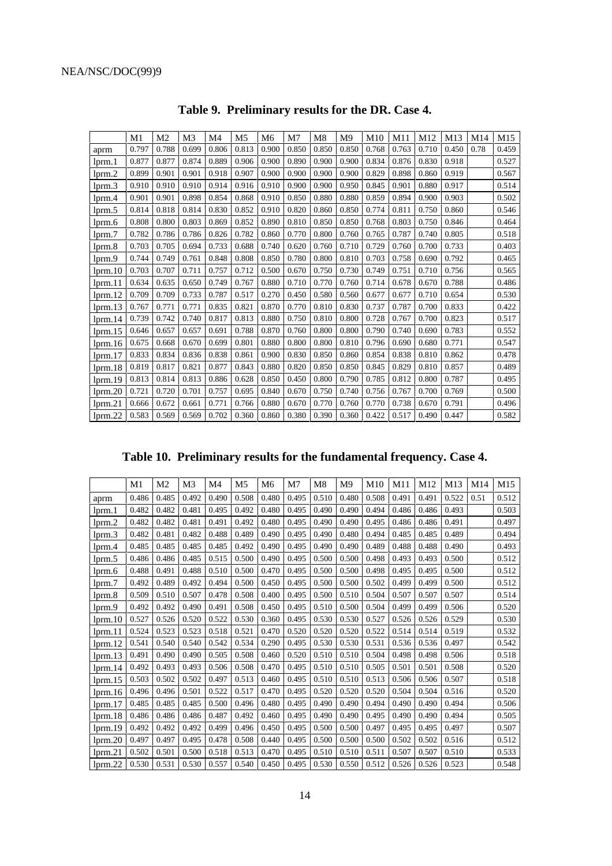|               | M1    | M <sub>2</sub> | M <sub>3</sub> | M4    | M <sub>5</sub> | M <sub>6</sub> | M7    | M8    | M9    | M10   | M11   | M12   | M13   | M <sub>14</sub> | M15   |
|---------------|-------|----------------|----------------|-------|----------------|----------------|-------|-------|-------|-------|-------|-------|-------|-----------------|-------|
| aprm          | 0.797 | 0.788          | 0.699          | 0.806 | 0.813          | 0.900          | 0.850 | 0.850 | 0.850 | 0.768 | 0.763 | 0.710 | 0.450 | 0.78            | 0.459 |
| lprm.1        | 0.877 | 0.877          | 0.874          | 0.889 | 0.906          | 0.900          | 0.890 | 0.900 | 0.900 | 0.834 | 0.876 | 0.830 | 0.918 |                 | 0.527 |
| lprm.2        | 0.899 | 0.901          | 0.901          | 0.918 | 0.907          | 0.900          | 0.900 | 0.900 | 0.900 | 0.829 | 0.898 | 0.860 | 0.919 |                 | 0.567 |
| lprm.3        | 0.910 | 0.910          | 0.910          | 0.914 | 0.916          | 0.910          | 0.900 | 0.900 | 0.950 | 0.845 | 0.901 | 0.880 | 0.917 |                 | 0.514 |
| $l$ prm. $4$  | 0.901 | 0.901          | 0.898          | 0.854 | 0.868          | 0.910          | 0.850 | 0.880 | 0.880 | 0.859 | 0.894 | 0.900 | 0.903 |                 | 0.502 |
| lprm.5        | 0.814 | 0.818          | 0.814          | 0.830 | 0.852          | 0.910          | 0.820 | 0.860 | 0.850 | 0.774 | 0.811 | 0.750 | 0.860 |                 | 0.546 |
| lprm.6        | 0.808 | 0.800          | 0.803          | 0.869 | 0.852          | 0.890          | 0.810 | 0.850 | 0.850 | 0.768 | 0.803 | 0.750 | 0.846 |                 | 0.464 |
| lprm.7        | 0.782 | 0.786          | 0.786          | 0.826 | 0.782          | 0.860          | 0.770 | 0.800 | 0.760 | 0.765 | 0.787 | 0.740 | 0.805 |                 | 0.518 |
| lprm.8        | 0.703 | 0.705          | 0.694          | 0.733 | 0.688          | 0.740          | 0.620 | 0.760 | 0.710 | 0.729 | 0.760 | 0.700 | 0.733 |                 | 0.403 |
| lprm.9        | 0.744 | 0.749          | 0.761          | 0.848 | 0.808          | 0.850          | 0.780 | 0.800 | 0.810 | 0.703 | 0.758 | 0.690 | 0.792 |                 | 0.465 |
| lprm.10       | 0.703 | 0.707          | 0.711          | 0.757 | 0.712          | 0.500          | 0.670 | 0.750 | 0.730 | 0.749 | 0.751 | 0.710 | 0.756 |                 | 0.565 |
| lmm.11        | 0.634 | 0.635          | 0.650          | 0.749 | 0.767          | 0.880          | 0.710 | 0.770 | 0.760 | 0.714 | 0.678 | 0.670 | 0.788 |                 | 0.486 |
| lprm.12       | 0.709 | 0.709          | 0.733          | 0.787 | 0.517          | 0.270          | 0.450 | 0.580 | 0.560 | 0.677 | 0.677 | 0.710 | 0.654 |                 | 0.530 |
| lprm.13       | 0.767 | 0.771          | 0.771          | 0.835 | 0.821          | 0.870          | 0.770 | 0.810 | 0.830 | 0.737 | 0.787 | 0.700 | 0.833 |                 | 0.422 |
| lmm.14        | 0.739 | 0.742          | 0.740          | 0.817 | 0.813          | 0.880          | 0.750 | 0.810 | 0.800 | 0.728 | 0.767 | 0.700 | 0.823 |                 | 0.517 |
| $l$ prm. $15$ | 0.646 | 0.657          | 0.657          | 0.691 | 0.788          | 0.870          | 0.760 | 0.800 | 0.800 | 0.790 | 0.740 | 0.690 | 0.783 |                 | 0.552 |
| lprm.16       | 0.675 | 0.668          | 0.670          | 0.699 | 0.801          | 0.880          | 0.800 | 0.800 | 0.810 | 0.796 | 0.690 | 0.680 | 0.771 |                 | 0.547 |
| lmm.17        | 0.833 | 0.834          | 0.836          | 0.838 | 0.861          | 0.900          | 0.830 | 0.850 | 0.860 | 0.854 | 0.838 | 0.810 | 0.862 |                 | 0.478 |
| lprm.18       | 0.819 | 0.817          | 0.821          | 0.877 | 0.843          | 0.880          | 0.820 | 0.850 | 0.850 | 0.845 | 0.829 | 0.810 | 0.857 |                 | 0.489 |
| lprm.19       | 0.813 | 0.814          | 0.813          | 0.886 | 0.628          | 0.850          | 0.450 | 0.800 | 0.790 | 0.785 | 0.812 | 0.800 | 0.787 |                 | 0.495 |
| lprm.20       | 0.721 | 0.720          | 0.701          | 0.757 | 0.695          | 0.840          | 0.670 | 0.750 | 0.740 | 0.756 | 0.767 | 0.700 | 0.769 |                 | 0.500 |
| $l$ prm. $21$ | 0.666 | 0.672          | 0.661          | 0.771 | 0.766          | 0.880          | 0.670 | 0.770 | 0.760 | 0.770 | 0.738 | 0.670 | 0.791 |                 | 0.496 |
| lprm.22       | 0.583 | 0.569          | 0.569          | 0.702 | 0.360          | 0.860          | 0.380 | 0.390 | 0.360 | 0.422 | 0.517 | 0.490 | 0.447 |                 | 0.582 |

**Table 9. Preliminary results for the DR. Case 4.**

**Table 10. Preliminary results for the fundamental frequency. Case 4.**

|                         | M1    | M <sub>2</sub> | M <sub>3</sub> | M4    | M <sub>5</sub> | M6    | M <sub>7</sub> | M <sub>8</sub> | M <sub>9</sub> | M10   | M11   | M12   | M13   | M14  | M15   |
|-------------------------|-------|----------------|----------------|-------|----------------|-------|----------------|----------------|----------------|-------|-------|-------|-------|------|-------|
| aprm                    | 0.486 | 0.485          | 0.492          | 0.490 | 0.508          | 0.480 | 0.495          | 0.510          | 0.480          | 0.508 | 0.491 | 0.491 | 0.522 | 0.51 | 0.512 |
| $l$ <sub>prm</sub> $l$  | 0.482 | 0.482          | 0.481          | 0.495 | 0.492          | 0.480 | 0.495          | 0.490          | 0.490          | 0.494 | 0.486 | 0.486 | 0.493 |      | 0.503 |
| $l$ prm. $2$            | 0.482 | 0.482          | 0.481          | 0.491 | 0.492          | 0.480 | 0.495          | 0.490          | 0.490          | 0.495 | 0.486 | 0.486 | 0.491 |      | 0.497 |
| $l$ prm. $3$            | 0.482 | 0.481          | 0.482          | 0.488 | 0.489          | 0.490 | 0.495          | 0.490          | 0.480          | 0.494 | 0.485 | 0.485 | 0.489 |      | 0.494 |
| $l$ <sub>prm</sub> $.4$ | 0.485 | 0.485          | 0.485          | 0.485 | 0.492          | 0.490 | 0.495          | 0.490          | 0.490          | 0.489 | 0.488 | 0.488 | 0.490 |      | 0.493 |
| lprm.5                  | 0.486 | 0.486          | 0.485          | 0.515 | 0.500          | 0.490 | 0.495          | 0.500          | 0.500          | 0.498 | 0.493 | 0.493 | 0.500 |      | 0.512 |
| lprm.6                  | 0.488 | 0.491          | 0.488          | 0.510 | 0.500          | 0.470 | 0.495          | 0.500          | 0.500          | 0.498 | 0.495 | 0.495 | 0.500 |      | 0.512 |
| lprm.7                  | 0.492 | 0.489          | 0.492          | 0.494 | 0.500          | 0.450 | 0.495          | 0.500          | 0.500          | 0.502 | 0.499 | 0.499 | 0.500 |      | 0.512 |
| $l$ prm. $8$            | 0.509 | 0.510          | 0.507          | 0.478 | 0.508          | 0.400 | 0.495          | 0.500          | 0.510          | 0.504 | 0.507 | 0.507 | 0.507 |      | 0.514 |
| lprm.9                  | 0.492 | 0.492          | 0.490          | 0.491 | 0.508          | 0.450 | 0.495          | 0.510          | 0.500          | 0.504 | 0.499 | 0.499 | 0.506 |      | 0.520 |
| lpm.10                  | 0.527 | 0.526          | 0.520          | 0.522 | 0.530          | 0.360 | 0.495          | 0.530          | 0.530          | 0.527 | 0.526 | 0.526 | 0.529 |      | 0.530 |
| $l$ prm. $11$           | 0.524 | 0.523          | 0.523          | 0.518 | 0.521          | 0.470 | 0.520          | 0.520          | 0.520          | 0.522 | 0.514 | 0.514 | 0.519 |      | 0.532 |
| lprm.12                 | 0.541 | 0.540          | 0.540          | 0.542 | 0.534          | 0.290 | 0.495          | 0.530          | 0.530          | 0.531 | 0.536 | 0.536 | 0.497 |      | 0.542 |
| lmm.13                  | 0.491 | 0.490          | 0.490          | 0.505 | 0.508          | 0.460 | 0.520          | 0.510          | 0.510          | 0.504 | 0.498 | 0.498 | 0.506 |      | 0.518 |
| lmm.14                  | 0.492 | 0.493          | 0.493          | 0.506 | 0.508          | 0.470 | 0.495          | 0.510          | 0.510          | 0.505 | 0.501 | 0.501 | 0.508 |      | 0.520 |
| lprm.15                 | 0.503 | 0.502          | 0.502          | 0.497 | 0.513          | 0.460 | 0.495          | 0.510          | 0.510          | 0.513 | 0.506 | 0.506 | 0.507 |      | 0.518 |
| lmm.16                  | 0.496 | 0.496          | 0.501          | 0.522 | 0.517          | 0.470 | 0.495          | 0.520          | 0.520          | 0.520 | 0.504 | 0.504 | 0.516 |      | 0.520 |
| lprm.17                 | 0.485 | 0.485          | 0.485          | 0.500 | 0.496          | 0.480 | 0.495          | 0.490          | 0.490          | 0.494 | 0.490 | 0.490 | 0.494 |      | 0.506 |
| lprm.18                 | 0.486 | 0.486          | 0.486          | 0.487 | 0.492          | 0.460 | 0.495          | 0.490          | 0.490          | 0.495 | 0.490 | 0.490 | 0.494 |      | 0.505 |
| lmm.19                  | 0.492 | 0.492          | 0.492          | 0.499 | 0.496          | 0.450 | 0.495          | 0.500          | 0.500          | 0.497 | 0.495 | 0.495 | 0.497 |      | 0.507 |
| lprm.20                 | 0.497 | 0.497          | 0.495          | 0.478 | 0.508          | 0.440 | 0.495          | 0.500          | 0.500          | 0.500 | 0.502 | 0.502 | 0.516 |      | 0.512 |
| lprm.21                 | 0.502 | 0.501          | 0.500          | 0.518 | 0.513          | 0.470 | 0.495          | 0.510          | 0.510          | 0.511 | 0.507 | 0.507 | 0.510 |      | 0.533 |
| lprm.22                 | 0.530 | 0.531          | 0.530          | 0.557 | 0.540          | 0.450 | 0.495          | 0.530          | 0.550          | 0.512 | 0.526 | 0.526 | 0.523 |      | 0.548 |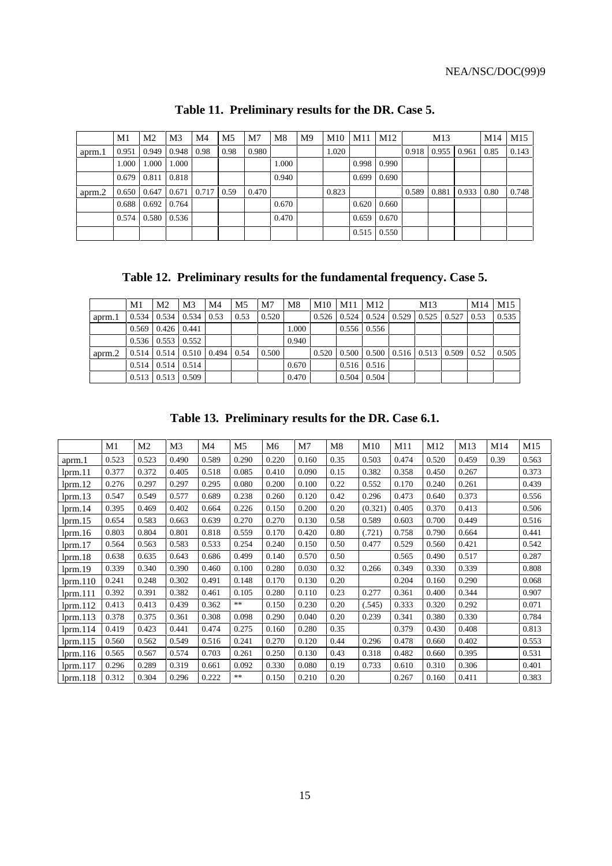|        | M1    | M <sub>2</sub>          | M <sub>3</sub> | M4    | M <sub>5</sub> | M <sub>7</sub> | M <sub>8</sub> | M <sup>9</sup> | M10   | M11   | M12                 |       | M13   |       | M14  | M15   |
|--------|-------|-------------------------|----------------|-------|----------------|----------------|----------------|----------------|-------|-------|---------------------|-------|-------|-------|------|-------|
| aprm.1 | 0.951 | 0.949                   | 0.948          | 0.98  | 0.98           | 0.980          |                |                | 1.020 |       |                     | 0.918 | 0.955 | 0.961 | 0.85 | 0.143 |
|        | 1.000 | 1.000                   | 1.000          |       |                |                | 1.000          |                |       | 0.998 | 0.990               |       |       |       |      |       |
|        |       | $0.679 \quad 0.811$     | 0.818          |       |                |                | 0.940          |                |       | 0.699 | 0.690               |       |       |       |      |       |
| aprm.2 | 0.650 | 0.647                   | 0.671          | 0.717 | 0.59           | 0.470          |                |                | 0.823 |       |                     | 0.589 | 0.881 | 0.933 | 0.80 | 0.748 |
|        | 0.688 | $0.692 \pm 0.764$       |                |       |                |                | 0.670          |                |       |       | $0.620 \pm 0.660$   |       |       |       |      |       |
|        |       | $0.574$   0.580   0.536 |                |       |                |                | 0.470          |                |       |       | $0.659 \pm 0.670$   |       |       |       |      |       |
|        |       |                         |                |       |                |                |                |                |       |       | $0.515 \quad 0.550$ |       |       |       |      |       |

**Table 11. Preliminary results for the DR. Case 5.**

**Table 12. Preliminary results for the fundamental frequency. Case 5.**

|        | M1    | M <sub>2</sub>                | M <sub>3</sub>          | M4                                     | M <sub>5</sub> | M7    | M8    | $M10$   $M11$   $M12$ |                                                        | M13           | M14  | M <sub>15</sub> |
|--------|-------|-------------------------------|-------------------------|----------------------------------------|----------------|-------|-------|-----------------------|--------------------------------------------------------|---------------|------|-----------------|
| aprm.1 | 0.534 |                               | $0.534 \mid 0.534 \mid$ | 0.53                                   | 0.53           | 0.520 |       |                       | $0.526$   0.524   0.524   0.529                        | $0.525$ 0.527 | 0.53 | 0.535           |
|        | 0.569 | $0.426 \cdot 0.441$           |                         |                                        |                |       | 1.000 |                       | $0.556 \mid 0.556$                                     |               |      |                 |
|        |       | $0.536 \mid 0.553 \mid 0.552$ |                         |                                        |                |       | 0.940 |                       |                                                        |               |      |                 |
| aprm.2 |       |                               |                         | $0.514$   0.514   0.510   0.494   0.54 |                | 0.500 |       |                       | $0.520$   0.500   0.500   0.516   0.513   0.509   0.52 |               |      | 0.505           |
|        | 0.514 |                               | $0.514 \pm 0.514$       |                                        |                |       | 0.670 |                       | $0.516 \mid 0.516$                                     |               |      |                 |
|        |       | $0.513 \mid 0.513 \mid 0.509$ |                         |                                        |                |       | 0.470 |                       | $0.504 \quad 0.504$                                    |               |      |                 |

**Table 13. Preliminary results for the DR. Case 6.1.**

|          | M1    | M2    | M3    | M4    | M5    | M <sub>6</sub> | M7    | M8   | M10     | M11   | M12   | M13   | M14  | M15   |
|----------|-------|-------|-------|-------|-------|----------------|-------|------|---------|-------|-------|-------|------|-------|
| aprm.1   | 0.523 | 0.523 | 0.490 | 0.589 | 0.290 | 0.220          | 0.160 | 0.35 | 0.503   | 0.474 | 0.520 | 0.459 | 0.39 | 0.563 |
| lprm.11  | 0.377 | 0.372 | 0.405 | 0.518 | 0.085 | 0.410          | 0.090 | 0.15 | 0.382   | 0.358 | 0.450 | 0.267 |      | 0.373 |
| lprm.12  | 0.276 | 0.297 | 0.297 | 0.295 | 0.080 | 0.200          | 0.100 | 0.22 | 0.552   | 0.170 | 0.240 | 0.261 |      | 0.439 |
| lprm.13  | 0.547 | 0.549 | 0.577 | 0.689 | 0.238 | 0.260          | 0.120 | 0.42 | 0.296   | 0.473 | 0.640 | 0.373 |      | 0.556 |
| lprm.14  | 0.395 | 0.469 | 0.402 | 0.664 | 0.226 | 0.150          | 0.200 | 0.20 | (0.321) | 0.405 | 0.370 | 0.413 |      | 0.506 |
| lprm.15  | 0.654 | 0.583 | 0.663 | 0.639 | 0.270 | 0.270          | 0.130 | 0.58 | 0.589   | 0.603 | 0.700 | 0.449 |      | 0.516 |
| lprm.16  | 0.803 | 0.804 | 0.801 | 0.818 | 0.559 | 0.170          | 0.420 | 0.80 | (.721)  | 0.758 | 0.790 | 0.664 |      | 0.441 |
| lprm.17  | 0.564 | 0.563 | 0.583 | 0.533 | 0.254 | 0.240          | 0.150 | 0.50 | 0.477   | 0.529 | 0.560 | 0.421 |      | 0.542 |
| lprm.18  | 0.638 | 0.635 | 0.643 | 0.686 | 0.499 | 0.140          | 0.570 | 0.50 |         | 0.565 | 0.490 | 0.517 |      | 0.287 |
| lprm.19  | 0.339 | 0.340 | 0.390 | 0.460 | 0.100 | 0.280          | 0.030 | 0.32 | 0.266   | 0.349 | 0.330 | 0.339 |      | 0.808 |
| lprm.110 | 0.241 | 0.248 | 0.302 | 0.491 | 0.148 | 0.170          | 0.130 | 0.20 |         | 0.204 | 0.160 | 0.290 |      | 0.068 |
| lprm.111 | 0.392 | 0.391 | 0.382 | 0.461 | 0.105 | 0.280          | 0.110 | 0.23 | 0.277   | 0.361 | 0.400 | 0.344 |      | 0.907 |
| lprm.112 | 0.413 | 0.413 | 0.439 | 0.362 | $**$  | 0.150          | 0.230 | 0.20 | (.545)  | 0.333 | 0.320 | 0.292 |      | 0.071 |
| lprm.113 | 0.378 | 0.375 | 0.361 | 0.308 | 0.098 | 0.290          | 0.040 | 0.20 | 0.239   | 0.341 | 0.380 | 0.330 |      | 0.784 |
| lprm.114 | 0.419 | 0.423 | 0.441 | 0.474 | 0.275 | 0.160          | 0.280 | 0.35 |         | 0.379 | 0.430 | 0.408 |      | 0.813 |
| lprm.115 | 0.560 | 0.562 | 0.549 | 0.516 | 0.241 | 0.270          | 0.120 | 0.44 | 0.296   | 0.478 | 0.660 | 0.402 |      | 0.553 |
| lprm.116 | 0.565 | 0.567 | 0.574 | 0.703 | 0.261 | 0.250          | 0.130 | 0.43 | 0.318   | 0.482 | 0.660 | 0.395 |      | 0.531 |
| lprm.117 | 0.296 | 0.289 | 0.319 | 0.661 | 0.092 | 0.330          | 0.080 | 0.19 | 0.733   | 0.610 | 0.310 | 0.306 |      | 0.401 |
| lprm.118 | 0.312 | 0.304 | 0.296 | 0.222 | **    | 0.150          | 0.210 | 0.20 |         | 0.267 | 0.160 | 0.411 |      | 0.383 |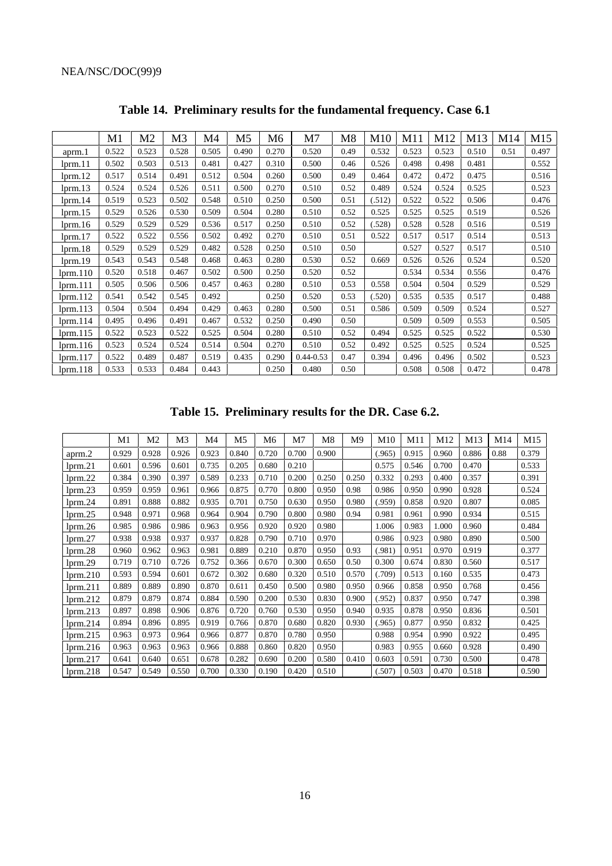|          | M1    | M <sub>2</sub> | M <sub>3</sub> | M4    | M5    | M6    | M7            | M8   | M <sub>10</sub> | M11   | M12   | M13   | M <sub>14</sub> | M15   |
|----------|-------|----------------|----------------|-------|-------|-------|---------------|------|-----------------|-------|-------|-------|-----------------|-------|
| aprm.1   | 0.522 | 0.523          | 0.528          | 0.505 | 0.490 | 0.270 | 0.520         | 0.49 | 0.532           | 0.523 | 0.523 | 0.510 | 0.51            | 0.497 |
| lprm.11  | 0.502 | 0.503          | 0.513          | 0.481 | 0.427 | 0.310 | 0.500         | 0.46 | 0.526           | 0.498 | 0.498 | 0.481 |                 | 0.552 |
| lprm.12  | 0.517 | 0.514          | 0.491          | 0.512 | 0.504 | 0.260 | 0.500         | 0.49 | 0.464           | 0.472 | 0.472 | 0.475 |                 | 0.516 |
| lprm.13  | 0.524 | 0.524          | 0.526          | 0.511 | 0.500 | 0.270 | 0.510         | 0.52 | 0.489           | 0.524 | 0.524 | 0.525 |                 | 0.523 |
| lprm.14  | 0.519 | 0.523          | 0.502          | 0.548 | 0.510 | 0.250 | 0.500         | 0.51 | (.512)          | 0.522 | 0.522 | 0.506 |                 | 0.476 |
| lprm.15  | 0.529 | 0.526          | 0.530          | 0.509 | 0.504 | 0.280 | 0.510         | 0.52 | 0.525           | 0.525 | 0.525 | 0.519 |                 | 0.526 |
| lprm.16  | 0.529 | 0.529          | 0.529          | 0.536 | 0.517 | 0.250 | 0.510         | 0.52 | (.528)          | 0.528 | 0.528 | 0.516 |                 | 0.519 |
| lprm.17  | 0.522 | 0.522          | 0.556          | 0.502 | 0.492 | 0.270 | 0.510         | 0.51 | 0.522           | 0.517 | 0.517 | 0.514 |                 | 0.513 |
| lprm.18  | 0.529 | 0.529          | 0.529          | 0.482 | 0.528 | 0.250 | 0.510         | 0.50 |                 | 0.527 | 0.527 | 0.517 |                 | 0.510 |
| lprm.19  | 0.543 | 0.543          | 0.548          | 0.468 | 0.463 | 0.280 | 0.530         | 0.52 | 0.669           | 0.526 | 0.526 | 0.524 |                 | 0.520 |
| lprm.110 | 0.520 | 0.518          | 0.467          | 0.502 | 0.500 | 0.250 | 0.520         | 0.52 |                 | 0.534 | 0.534 | 0.556 |                 | 0.476 |
| lprm.111 | 0.505 | 0.506          | 0.506          | 0.457 | 0.463 | 0.280 | 0.510         | 0.53 | 0.558           | 0.504 | 0.504 | 0.529 |                 | 0.529 |
| lprm.112 | 0.541 | 0.542          | 0.545          | 0.492 |       | 0.250 | 0.520         | 0.53 | (.520)          | 0.535 | 0.535 | 0.517 |                 | 0.488 |
| lprm.113 | 0.504 | 0.504          | 0.494          | 0.429 | 0.463 | 0.280 | 0.500         | 0.51 | 0.586           | 0.509 | 0.509 | 0.524 |                 | 0.527 |
| lprm.114 | 0.495 | 0.496          | 0.491          | 0.467 | 0.532 | 0.250 | 0.490         | 0.50 |                 | 0.509 | 0.509 | 0.553 |                 | 0.505 |
| lprm.115 | 0.522 | 0.523          | 0.522          | 0.525 | 0.504 | 0.280 | 0.510         | 0.52 | 0.494           | 0.525 | 0.525 | 0.522 |                 | 0.530 |
| lprm.116 | 0.523 | 0.524          | 0.524          | 0.514 | 0.504 | 0.270 | 0.510         | 0.52 | 0.492           | 0.525 | 0.525 | 0.524 |                 | 0.525 |
| lprm.117 | 0.522 | 0.489          | 0.487          | 0.519 | 0.435 | 0.290 | $0.44 - 0.53$ | 0.47 | 0.394           | 0.496 | 0.496 | 0.502 |                 | 0.523 |
| lprm.118 | 0.533 | 0.533          | 0.484          | 0.443 |       | 0.250 | 0.480         | 0.50 |                 | 0.508 | 0.508 | 0.472 |                 | 0.478 |

**Table 14. Preliminary results for the fundamental frequency. Case 6.1**

**Table 15. Preliminary results for the DR. Case 6.2.**

|          | M1    | M <sub>2</sub> | M3    | M4    | M <sub>5</sub> | M6    | M7    | M8    | M9    | M10    | M11   | M12   | M13   | M14  | M15   |
|----------|-------|----------------|-------|-------|----------------|-------|-------|-------|-------|--------|-------|-------|-------|------|-------|
| aprm.2   | 0.929 | 0.928          | 0.926 | 0.923 | 0.840          | 0.720 | 0.700 | 0.900 |       | (.965) | 0.915 | 0.960 | 0.886 | 0.88 | 0.379 |
| lprm.21  | 0.601 | 0.596          | 0.601 | 0.735 | 0.205          | 0.680 | 0.210 |       |       | 0.575  | 0.546 | 0.700 | 0.470 |      | 0.533 |
| lprm.22  | 0.384 | 0.390          | 0.397 | 0.589 | 0.233          | 0.710 | 0.200 | 0.250 | 0.250 | 0.332  | 0.293 | 0.400 | 0.357 |      | 0.391 |
| lprm.23  | 0.959 | 0.959          | 0.961 | 0.966 | 0.875          | 0.770 | 0.800 | 0.950 | 0.98  | 0.986  | 0.950 | 0.990 | 0.928 |      | 0.524 |
| lprm.24  | 0.891 | 0.888          | 0.882 | 0.935 | 0.701          | 0.750 | 0.630 | 0.950 | 0.980 | (.959) | 0.858 | 0.920 | 0.807 |      | 0.085 |
| lprm.25  | 0.948 | 0.971          | 0.968 | 0.964 | 0.904          | 0.790 | 0.800 | 0.980 | 0.94  | 0.981  | 0.961 | 0.990 | 0.934 |      | 0.515 |
| lprm.26  | 0.985 | 0.986          | 0.986 | 0.963 | 0.956          | 0.920 | 0.920 | 0.980 |       | 1.006  | 0.983 | 1.000 | 0.960 |      | 0.484 |
| lprm.27  | 0.938 | 0.938          | 0.937 | 0.937 | 0.828          | 0.790 | 0.710 | 0.970 |       | 0.986  | 0.923 | 0.980 | 0.890 |      | 0.500 |
| lprm.28  | 0.960 | 0.962          | 0.963 | 0.981 | 0.889          | 0.210 | 0.870 | 0.950 | 0.93  | (.981) | 0.951 | 0.970 | 0.919 |      | 0.377 |
| lprm.29  | 0.719 | 0.710          | 0.726 | 0.752 | 0.366          | 0.670 | 0.300 | 0.650 | 0.50  | 0.300  | 0.674 | 0.830 | 0.560 |      | 0.517 |
| lprm.210 | 0.593 | 0.594          | 0.601 | 0.672 | 0.302          | 0.680 | 0.320 | 0.510 | 0.570 | (.709) | 0.513 | 0.160 | 0.535 |      | 0.473 |
| lprm.211 | 0.889 | 0.889          | 0.890 | 0.870 | 0.611          | 0.450 | 0.500 | 0.980 | 0.950 | 0.966  | 0.858 | 0.950 | 0.768 |      | 0.456 |
| lprm.212 | 0.879 | 0.879          | 0.874 | 0.884 | 0.590          | 0.200 | 0.530 | 0.830 | 0.900 | (.952) | 0.837 | 0.950 | 0.747 |      | 0.398 |
| lprm.213 | 0.897 | 0.898          | 0.906 | 0.876 | 0.720          | 0.760 | 0.530 | 0.950 | 0.940 | 0.935  | 0.878 | 0.950 | 0.836 |      | 0.501 |
| lprm.214 | 0.894 | 0.896          | 0.895 | 0.919 | 0.766          | 0.870 | 0.680 | 0.820 | 0.930 | (.965) | 0.877 | 0.950 | 0.832 |      | 0.425 |
| lprm.215 | 0.963 | 0.973          | 0.964 | 0.966 | 0.877          | 0.870 | 0.780 | 0.950 |       | 0.988  | 0.954 | 0.990 | 0.922 |      | 0.495 |
| lprm.216 | 0.963 | 0.963          | 0.963 | 0.966 | 0.888          | 0.860 | 0.820 | 0.950 |       | 0.983  | 0.955 | 0.660 | 0.928 |      | 0.490 |
| lprm.217 | 0.641 | 0.640          | 0.651 | 0.678 | 0.282          | 0.690 | 0.200 | 0.580 | 0.410 | 0.603  | 0.591 | 0.730 | 0.500 |      | 0.478 |
| lprm.218 | 0.547 | 0.549          | 0.550 | 0.700 | 0.330          | 0.190 | 0.420 | 0.510 |       | (.507) | 0.503 | 0.470 | 0.518 |      | 0.590 |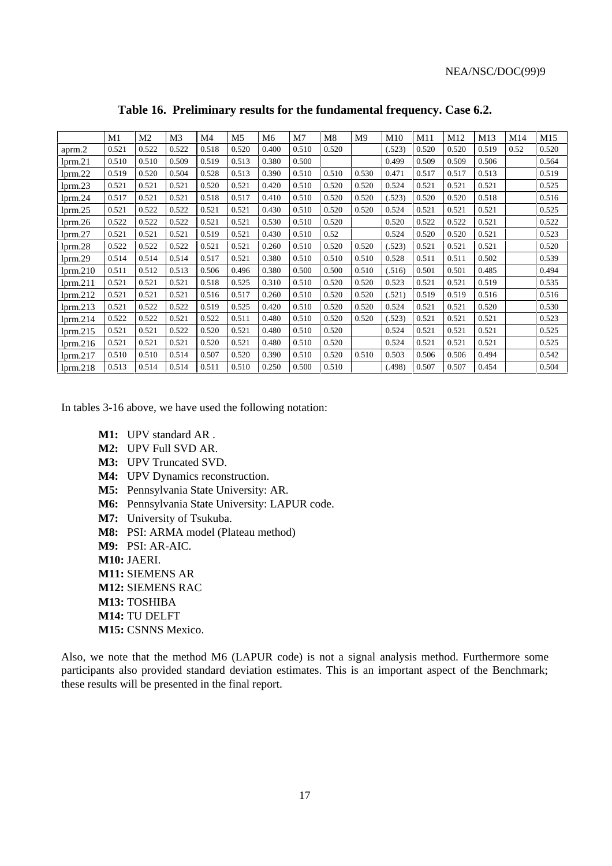|               | M1    | M <sub>2</sub> | M <sub>3</sub> | M4    | M <sub>5</sub> | M <sub>6</sub> | M <sub>7</sub> | M8    | M9    | M10    | M11   | M <sub>12</sub> | M13   | M14  | M15   |
|---------------|-------|----------------|----------------|-------|----------------|----------------|----------------|-------|-------|--------|-------|-----------------|-------|------|-------|
| aprm.2        | 0.521 | 0.522          | 0.522          | 0.518 | 0.520          | 0.400          | 0.510          | 0.520 |       | (.523) | 0.520 | 0.520           | 0.519 | 0.52 | 0.520 |
| lprm.21       | 0.510 | 0.510          | 0.509          | 0.519 | 0.513          | 0.380          | 0.500          |       |       | 0.499  | 0.509 | 0.509           | 0.506 |      | 0.564 |
| lprm.22       | 0.519 | 0.520          | 0.504          | 0.528 | 0.513          | 0.390          | 0.510          | 0.510 | 0.530 | 0.471  | 0.517 | 0.517           | 0.513 |      | 0.519 |
| lprm.23       | 0.521 | 0.521          | 0.521          | 0.520 | 0.521          | 0.420          | 0.510          | 0.520 | 0.520 | 0.524  | 0.521 | 0.521           | 0.521 |      | 0.525 |
| lprm.24       | 0.517 | 0.521          | 0.521          | 0.518 | 0.517          | 0.410          | 0.510          | 0.520 | 0.520 | (.523) | 0.520 | 0.520           | 0.518 |      | 0.516 |
| lprm.25       | 0.521 | 0.522          | 0.522          | 0.521 | 0.521          | 0.430          | 0.510          | 0.520 | 0.520 | 0.524  | 0.521 | 0.521           | 0.521 |      | 0.525 |
| $l$ prm. $26$ | 0.522 | 0.522          | 0.522          | 0.521 | 0.521          | 0.530          | 0.510          | 0.520 |       | 0.520  | 0.522 | 0.522           | 0.521 |      | 0.522 |
| lprm.27       | 0.521 | 0.521          | 0.521          | 0.519 | 0.521          | 0.430          | 0.510          | 0.52  |       | 0.524  | 0.520 | 0.520           | 0.521 |      | 0.523 |
| lprm.28       | 0.522 | 0.522          | 0.522          | 0.521 | 0.521          | 0.260          | 0.510          | 0.520 | 0.520 | (.523) | 0.521 | 0.521           | 0.521 |      | 0.520 |
| lprm.29       | 0.514 | 0.514          | 0.514          | 0.517 | 0.521          | 0.380          | 0.510          | 0.510 | 0.510 | 0.528  | 0.511 | 0.511           | 0.502 |      | 0.539 |
| lprm.210      | 0.511 | 0.512          | 0.513          | 0.506 | 0.496          | 0.380          | 0.500          | 0.500 | 0.510 | (.516) | 0.501 | 0.501           | 0.485 |      | 0.494 |
| lmm.211       | 0.521 | 0.521          | 0.521          | 0.518 | 0.525          | 0.310          | 0.510          | 0.520 | 0.520 | 0.523  | 0.521 | 0.521           | 0.519 |      | 0.535 |
| lprm.212      | 0.521 | 0.521          | 0.521          | 0.516 | 0.517          | 0.260          | 0.510          | 0.520 | 0.520 | (.521) | 0.519 | 0.519           | 0.516 |      | 0.516 |
| lprm.213      | 0.521 | 0.522          | 0.522          | 0.519 | 0.525          | 0.420          | 0.510          | 0.520 | 0.520 | 0.524  | 0.521 | 0.521           | 0.520 |      | 0.530 |
| lprm.214      | 0.522 | 0.522          | 0.521          | 0.522 | 0.511          | 0.480          | 0.510          | 0.520 | 0.520 | (.523) | 0.521 | 0.521           | 0.521 |      | 0.523 |
| lprm.215      | 0.521 | 0.521          | 0.522          | 0.520 | 0.521          | 0.480          | 0.510          | 0.520 |       | 0.524  | 0.521 | 0.521           | 0.521 |      | 0.525 |
| lmm.216       | 0.521 | 0.521          | 0.521          | 0.520 | 0.521          | 0.480          | 0.510          | 0.520 |       | 0.524  | 0.521 | 0.521           | 0.521 |      | 0.525 |
| lprm.217      | 0.510 | 0.510          | 0.514          | 0.507 | 0.520          | 0.390          | 0.510          | 0.520 | 0.510 | 0.503  | 0.506 | 0.506           | 0.494 |      | 0.542 |
| lprm.218      | 0.513 | 0.514          | 0.514          | 0.511 | 0.510          | 0.250          | 0.500          | 0.510 |       | (.498) | 0.507 | 0.507           | 0.454 |      | 0.504 |

**Table 16. Preliminary results for the fundamental frequency. Case 6.2.**

In tables 3-16 above, we have used the following notation:

- **M1:** UPV standard AR .
- **M2:** UPV Full SVD AR.
- **M3:** UPV Truncated SVD.
- **M4:** UPV Dynamics reconstruction.
- **M5:** Pennsylvania State University: AR.
- **M6:** Pennsylvania State University: LAPUR code.
- **M7:** University of Tsukuba.
- **M8:** PSI: ARMA model (Plateau method)
- **M9:** PSI: AR-AIC.
- **M10:** JAERI.
- **M11:** SIEMENS AR
- **M12:** SIEMENS RAC
- **M13:** TOSHIBA
- **M14:** TU DELFT
- **M15:** CSNNS Mexico.

Also, we note that the method M6 (LAPUR code) is not a signal analysis method. Furthermore some participants also provided standard deviation estimates. This is an important aspect of the Benchmark; these results will be presented in the final report.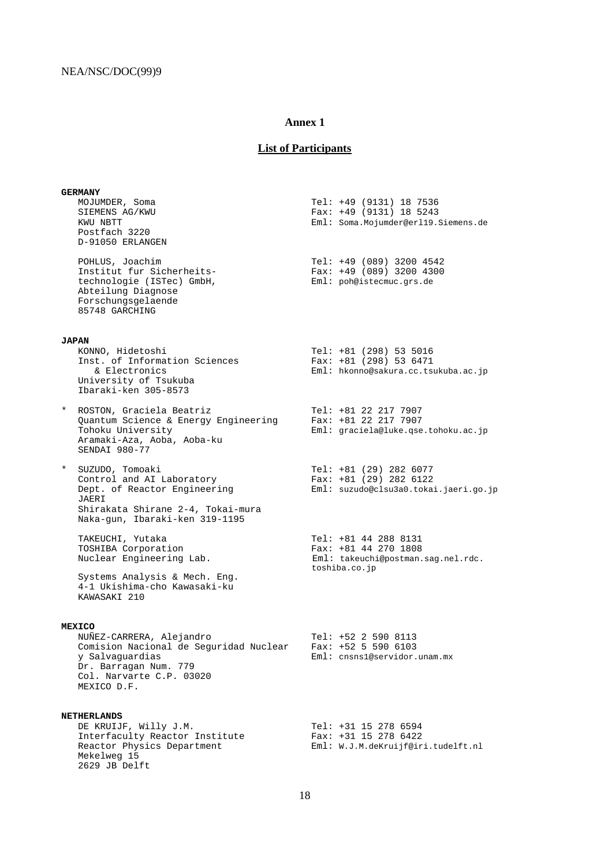## **List of Participants**

**GERMANY**<br>MOJUMDER, Soma MOJUMDER, Soma Tel: +49 (9131) 18 7536 SIEMENS AG/KWU Fax: +49 (9131) 18 5243<br>
KWU NBTT Fax: +49 (9131) 18 5243 Eml: Soma.Mojumder@erl19.Siemens.de Postfach 3220 D-91050 ERLANGEN POHLUS, Joachim 1998 1200 1201 1203 1200 13200 14542<br>
Trax: +49 (089) 3200 1300 Institut fur Sicherheits-<br>technologie (ISTec) GmbH, Fax: +49 (089) 3200 4300<br>Eml: poh@istecmuc.grs.de technologie (ISTec) GmbH, Abteilung Diagnose Forschungsgelaende 85748 GARCHING **JAPAN** KONNO, Hidetoshi Tel: +81 (298) 53 5016 Inst. of Information Sciences Fax: +81 (298) 53 6471 & Electronics Eml: hkonno@sakura.cc.tsukuba.ac.jp University of Tsukuba Ibaraki-ken 305-8573 \* ROSTON, Graciela Beatriz Tel: +81 22 217 7907 Quantum Science & Energy Engineering Fax: +81 22 217 7907 Tohoku University Eml: graciela@luke.qse.tohoku.ac.jp Aramaki-Aza, Aoba, Aoba-ku SENDAI 980-77 \* SUZUDO, Tomoaki Tel: +81 (29) 282 6077 Control and AI Laboratory Fax: +81 (29) 282 6122 Dept. of Reactor Engineering [Eml: suzudo@clsu3a0.tokai.jaeri.go.jp JAERI Shirakata Shirane 2-4, Tokai-mura Naka-gun, Ibaraki-ken 319-1195 TAKEUCHI, Yutaka 1988 1994 1208 131 1208 131 1208 131 1208 131 1208 131 1208 131 1208 131 132 132 132 132 132 1 TOSHIBA Corporation<br>Nuclear Engineering Lab.<br>Eml: takeuchi@postman. Eml: takeuchi@postman.sag.nel.rdc. toshiba.co.jp Systems Analysis & Mech. Eng. 4-1 Ukishima-cho Kawasaki-ku KAWASAKI 210 **MEXICO** NUÑEZ-CARRERA, Alejandro Tel: +52 2 590 8113 Comision Nacional de Seguridad Nuclear y Salvaguardias Eml: cnsns1@servidor.unam.mx Dr. Barragan Num. 779 Col. Narvarte C.P. 03020 MEXICO D.F. **NETHERLANDS**<br>DE KRUIJF, Willy J.M. DE KRUIJF, Willy J.M. Tel: +31 15 278 6594 Interfaculty Reactor Institute Fax: +31 15 278 6422 Reactor Physics Department Eml: W.J.M.deKruijf@iri.tudelft.nl Mekelweg 15 2629 JB Delft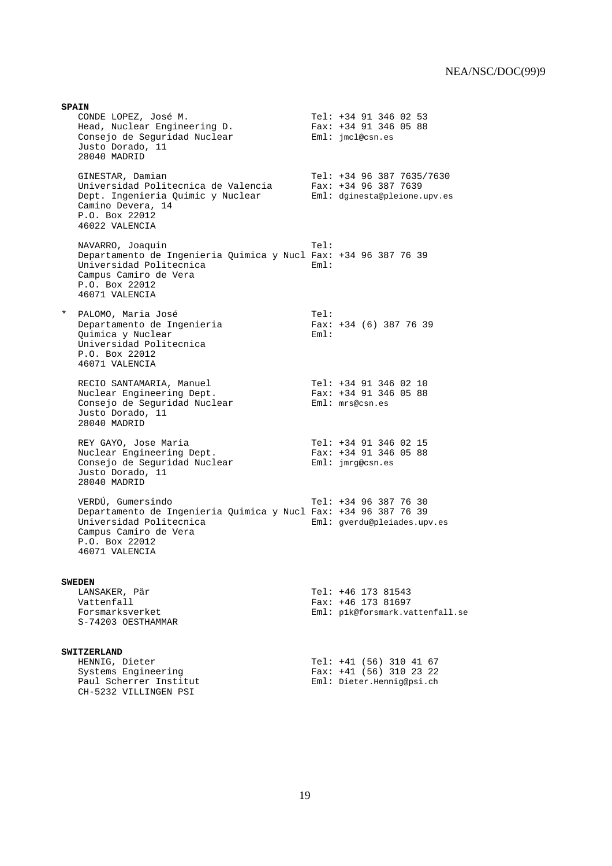**SPAIN** CONDE LOPEZ, José M. Tel: +34 91 346 02 53 Head, Nuclear Engineering D. Fax: +34 91 346 05 88 Consejo de Seguridad Nuclear Eml: jmcl@csn.es Justo Dorado, 11 28040 MADRID GINESTAR, Damian Tel: +34 96 387 7635/7630 Universidad Politecnica de Valencia Fax: +34 96 387 7639 Dept. Ingenieria Quimic y Nuclear Eml: dginesta@pleione.upv.es Camino Devera, 14 P.O. Box 22012 46022 VALENCIA NAVARRO, Joaquin Tel: Departamento de Ingenieria Quimica y Nucl Fax: +34 96 387 76 39 Universidad Politecnica Campus Camiro de Vera P.O. Box 22012 46071 VALENCIA \* PALOMO, Maria José Tel: Departamento de Ingenieria Fax: +34 (6) 387 76 39 Quimica y Nuclear eml: Universidad Politecnica P.O. Box 22012 46071 VALENCIA RECIO SANTAMARIA, Manuel Tel: +34 91 346 02 10 Nuclear Engineering Dept. Fax: +34 91 346 05 88 Consejo de Seguridad Nuclear Fand: mrs@csn.es Justo Dorado, 11 28040 MADRID REY GAYO, Jose Maria Tel: +34 91 346 02 15 Nuclear Engineering Dept. Fax: +34 91 346 05 88 Consejo de Seguridad Nuclear Fundition est un establecentes Justo Dorado, 11 28040 MADRID VERDÚ, Gumersindo Tel: +34 96 387 76 30 Departamento de Ingenieria Quimica y Nucl Fax: +34 96 387 76 39 Universidad Politecnica Campus Camiro de Vera P.O. Box 22012 46071 VALENCIA **SWEDEN**  $Tel: +46 173 81543$  Vattenfall Fax: +46 173 81697 Eml: p1k@forsmark.vattenfall.se S-74203 OESTHAMMAR **SWITZERLAND** HENNIG, Dieter<br>
Systems Engineering<br>
Tax: +41 (56) 310 23 22 Systems Engineering<br>
Paul Scherrer Institut<br>
Eml: Dieter.Henniq@psi.ch Eml: Dieter.Hennig@psi.ch CH-5232 VILLINGEN PSI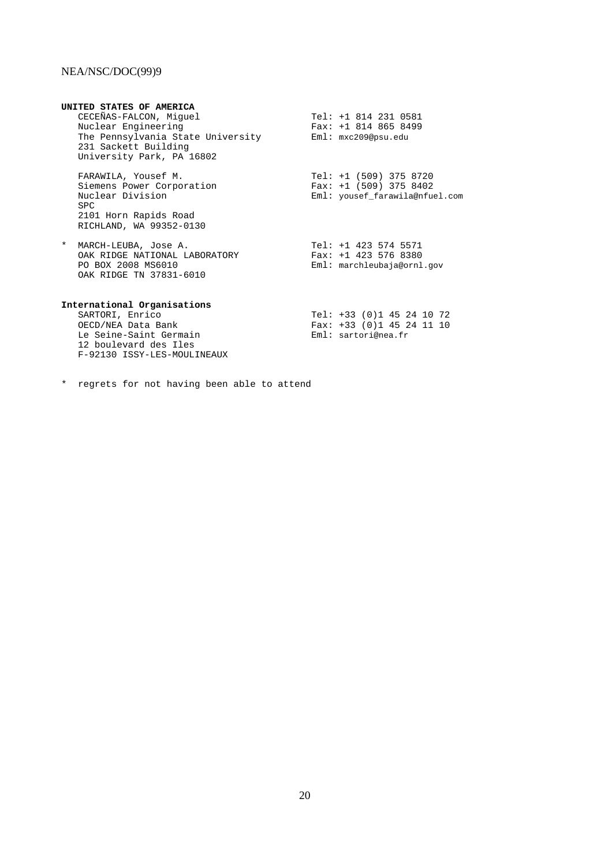| UNITED STATES OF AMERICA                                                        |                                   |                                                                                        |
|---------------------------------------------------------------------------------|-----------------------------------|----------------------------------------------------------------------------------------|
| CECEÑAS-FALCON, Miquel                                                          |                                   | Tel: +1 814 231 0581                                                                   |
| Nuclear Engineering                                                             |                                   | Fax: $+1$ 814 865 8499                                                                 |
| 231 Sackett Building<br>University Park, PA 16802                               | The Pennsylvania State University | Eml: mxc209@psu.edu                                                                    |
| FARAWILA, Yousef M.<br>Siemens Power Corporation<br>Nuclear Division            |                                   | Tel: $+1$ (509) 375 8720<br>Fax: $+1$ (509) 375 8402<br>Eml: yousef farawila@nfuel.com |
| SPC.                                                                            |                                   |                                                                                        |
| 2101 Horn Rapids Road<br>RICHLAND, WA 99352-0130                                |                                   |                                                                                        |
| $\ast$<br>MARCH-LEUBA, Jose A.<br>PO BOX 2008 MS6010<br>OAK RIDGE TN 37831-6010 | OAK RIDGE NATIONAL LABORATORY     | $Tel: +1 423 574 5571$<br>Fax: $+1$ 423 576 8380<br>Eml: marchleubaja@ornl.gov         |

#### **International Organisations**

SARTORI, Enrico Tel: +33 (0)1 45 24 10 72 OECD/NEA Data Bank Fax: +33 (0)1 45 24 11 10 Le Seine-Saint Germain 12 boulevard des Iles F-92130 ISSY-LES-MOULINEAUX

|                     | Tel: +33 (0)1 45 24 10 72   |  |  |  |  |
|---------------------|-----------------------------|--|--|--|--|
|                     | Fax: $+33$ (0)1 45 24 11 10 |  |  |  |  |
| Eml: sartori@nea.fr |                             |  |  |  |  |

\* regrets for not having been able to attend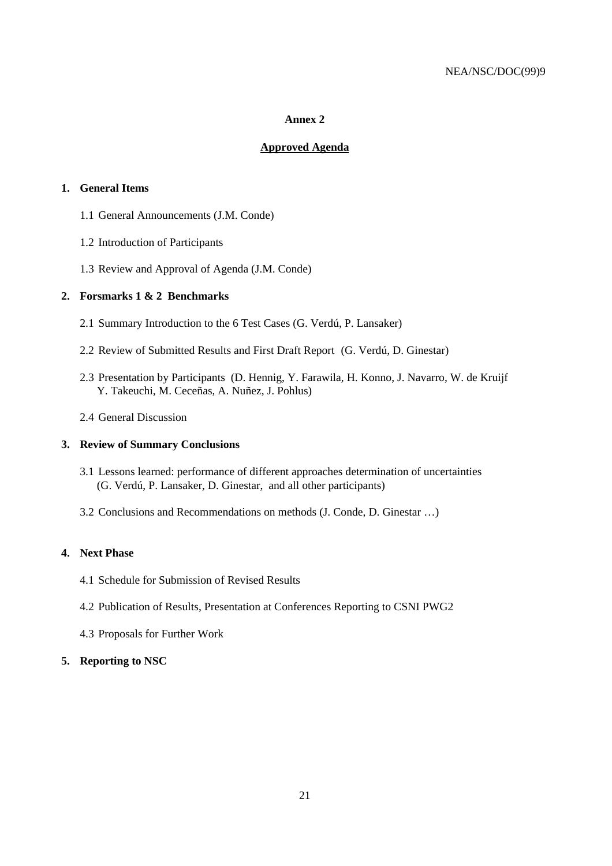## **Approved Agenda**

## **1. General Items**

- 1.1 General Announcements (J.M. Conde)
- 1.2 Introduction of Participants
- 1.3 Review and Approval of Agenda (J.M. Conde)

## **2. Forsmarks 1 & 2 Benchmarks**

- 2.1 Summary Introduction to the 6 Test Cases (G. Verdú, P. Lansaker)
- 2.2 Review of Submitted Results and First Draft Report (G. Verdú, D. Ginestar)
- 2.3 Presentation by Participants (D. Hennig, Y. Farawila, H. Konno, J. Navarro, W. de Kruijf Y. Takeuchi, M. Ceceñas, A. Nuñez, J. Pohlus)
- 2.4 General Discussion

## **3. Review of Summary Conclusions**

- 3.1 Lessons learned: performance of different approaches determination of uncertainties (G. Verdú, P. Lansaker, D. Ginestar, and all other participants)
- 3.2 Conclusions and Recommendations on methods (J. Conde, D. Ginestar …)

## **4. Next Phase**

- 4.1 Schedule for Submission of Revised Results
- 4.2 Publication of Results, Presentation at Conferences Reporting to CSNI PWG2
- 4.3 Proposals for Further Work

## **5. Reporting to NSC**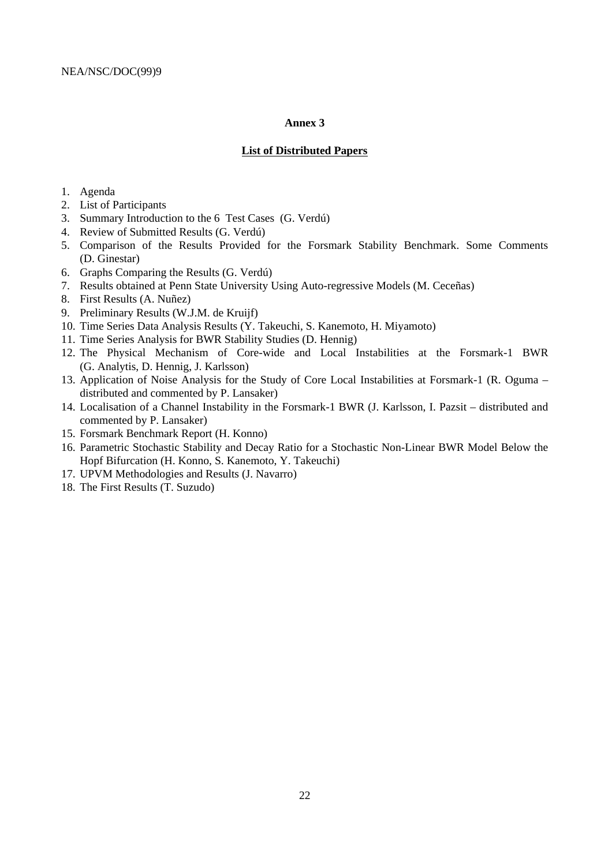#### **List of Distributed Papers**

- 1. Agenda
- 2. List of Participants
- 3. Summary Introduction to the 6 Test Cases (G. Verdú)
- 4. Review of Submitted Results (G. Verdú)
- 5. Comparison of the Results Provided for the Forsmark Stability Benchmark. Some Comments (D. Ginestar)
- 6. Graphs Comparing the Results (G. Verdú)
- 7. Results obtained at Penn State University Using Auto-regressive Models (M. Ceceñas)
- 8. First Results (A. Nuñez)
- 9. Preliminary Results (W.J.M. de Kruijf)
- 10. Time Series Data Analysis Results (Y. Takeuchi, S. Kanemoto, H. Miyamoto)
- 11. Time Series Analysis for BWR Stability Studies (D. Hennig)
- 12. The Physical Mechanism of Core-wide and Local Instabilities at the Forsmark-1 BWR (G. Analytis, D. Hennig, J. Karlsson)
- 13. Application of Noise Analysis for the Study of Core Local Instabilities at Forsmark-1 (R. Oguma distributed and commented by P. Lansaker)
- 14. Localisation of a Channel Instability in the Forsmark-1 BWR (J. Karlsson, I. Pazsit distributed and commented by P. Lansaker)
- 15. Forsmark Benchmark Report (H. Konno)
- 16. Parametric Stochastic Stability and Decay Ratio for a Stochastic Non-Linear BWR Model Below the Hopf Bifurcation (H. Konno, S. Kanemoto, Y. Takeuchi)
- 17. UPVM Methodologies and Results (J. Navarro)
- 18. The First Results (T. Suzudo)